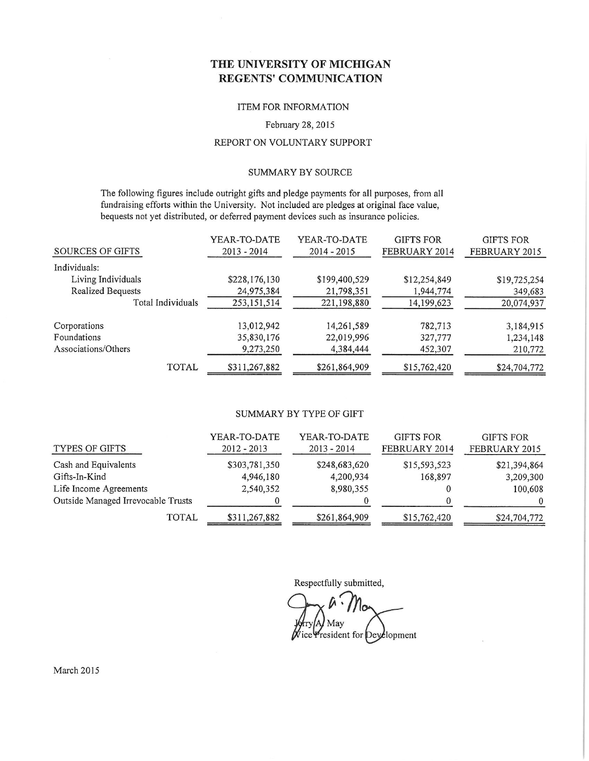## THE UNIVERSITY OF MICHIGAN **REGENTS' COMMUNICATION**

## **Received by the Regents March 19, 2015**

#### ITEM FOR INFORMATION

#### February 28, 2015

#### REPORT ON VOLUNTARY SUPPORT

#### **SUMMARY BY SOURCE**

The following figures include outright gifts and pledge payments for all purposes, from all fundraising efforts within the University. Not included are pledges at original face value, bequests not yet distributed, or deferred payment devices such as insurance policies.

|                          | YEAR-TO-DATE  | YEAR-TO-DATE  | <b>GIFTS FOR</b> | <b>GIFTS FOR</b> |
|--------------------------|---------------|---------------|------------------|------------------|
| SOURCES OF GIFTS         | $2013 - 2014$ | $2014 - 2015$ | FEBRUARY 2014    | FEBRUARY 2015    |
| Individuals:             |               |               |                  |                  |
| Living Individuals       | \$228,176,130 | \$199,400,529 | \$12,254,849     | \$19,725,254     |
| <b>Realized Bequests</b> | 24,975,384    | 21,798,351    | 1,944,774        | 349,683          |
| Total Individuals        | 253,151,514   | 221,198,880   | 14,199,623       | 20,074,937       |
| Corporations             | 13,012,942    | 14,261,589    | 782,713          | 3,184,915        |
| Foundations              | 35,830,176    | 22,019,996    | 327,777          | 1,234,148        |
| Associations/Others      | 9,273,250     | 4,384,444     | 452,307          | 210,772          |
| <b>TOTAL</b>             | \$311,267,882 | \$261,864,909 | \$15,762,420     | \$24,704,772     |

#### SUMMARY BY TYPE OF GIFT

| TYPES OF GIFTS                     | YEAR-TO-DATE<br>$2012 - 2013$ | YEAR-TO-DATE<br>$2013 - 2014$ | <b>GIFTS FOR</b><br>FEBRUARY 2014 | <b>GIFTS FOR</b><br>FEBRUARY 2015 |
|------------------------------------|-------------------------------|-------------------------------|-----------------------------------|-----------------------------------|
| Cash and Equivalents               | \$303,781,350                 | \$248,683,620                 | \$15,593,523                      | \$21,394,864                      |
| Gifts-In-Kind                      | 4,946,180                     | 4,200,934                     | 168,897                           | 3,209,300                         |
| Life Income Agreements             | 2,540,352                     | 8,980,355                     |                                   | 100,608                           |
| Outside Managed Irrevocable Trusts |                               |                               |                                   |                                   |
| <b>TOTAL</b>                       | \$311,267,882                 | \$261,864,909                 | \$15,762,420                      | \$24,704,772                      |

Respectfully submitted,

May ice President for Deyelopment

March 2015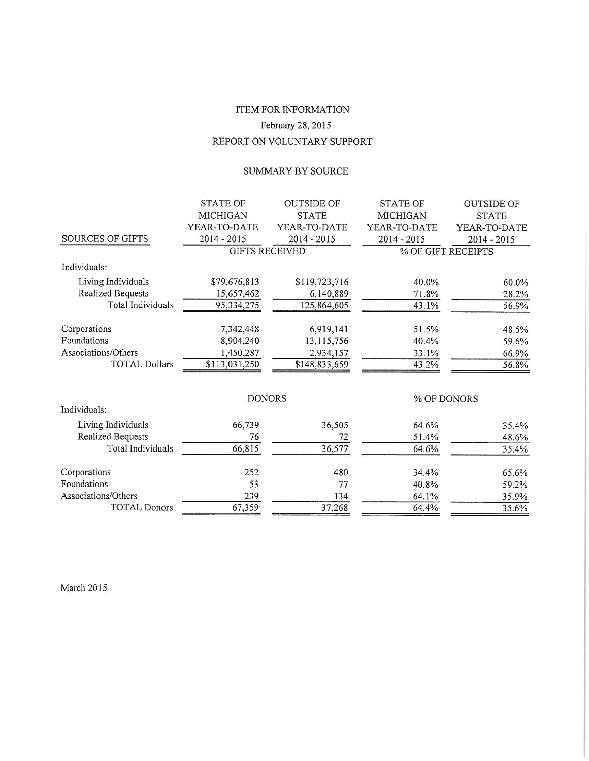# ITEM FOR INFORMATION February 28, 2015 REPORT ON VOLUNTARY SUPPORT

## SUMMARY BY SOURCE

|                          | <b>STATE OF</b>       | <b>OUTSIDE OF</b> | <b>STATE OF</b> | <b>OUTSIDE OF</b>  |
|--------------------------|-----------------------|-------------------|-----------------|--------------------|
|                          | <b>MICHIGAN</b>       | <b>STATE</b>      | <b>MICHIGAN</b> | <b>STATE</b>       |
|                          | YEAR-TO-DATE          | YEAR-TO-DATE      | YEAR-TO-DATE    | YEAR-TO-DATE       |
| SOURCES OF GIFTS         | 2014 - 2015           | 2014 - 2015       | $2014 - 2015$   | 2014 - 2015        |
|                          | <b>GIFTS RECEIVED</b> |                   |                 | % OF GIFT RECEIPTS |
| Individuals:             |                       |                   |                 |                    |
| Living Individuals       | \$79,676,813          | \$119,723,716     | 40.0%           | 60.0%              |
| <b>Realized Bequests</b> | 15,657,462            | 6,140,889         | 71.8%           | 28.2%              |
| <b>Total Individuals</b> | 95,334,275            | 125,864,605       | 43.1%           | 56.9%              |
| Corporations             | 7,342,448             | 6,919,141         | 51.5%           | 48.5%              |
| Foundations              | 8,904,240             | 13,115,756        | 40.4%           | 59.6%              |
| Associations/Others      | 1,450,287             | 2,934,157         | 33.1%           | 66.9%              |
| <b>TOTAL Dollars</b>     | \$113,031,250         | \$148,833,659     | 43.2%           | 56.8%              |
|                          |                       |                   |                 |                    |
|                          | <b>DONORS</b>         |                   |                 | % OF DONORS        |
| Individuals:             |                       |                   |                 |                    |
| Living Individuals       | 66,739                | 36,505            | 64.6%           | 35.4%              |
| <b>Realized Bequests</b> | 76                    | 72                | 51.4%           | 48.6%              |
| Total Individuals        | 66,815                | 36,577            | 64.6%           | 35.4%              |
| Corporations             | 252                   | 480               | 34.4%           | 65.6%              |
| Foundations              | 53                    | 77                | 40.8%           | 59.2%              |
| Associations/Others      | 239                   | 134               | 64.1%           | 35.9%              |
| <b>TOTAL Donors</b>      | 67,359                | 37,268            | 64.4%           | 35.6%              |

 $\blacksquare$ 

March 2015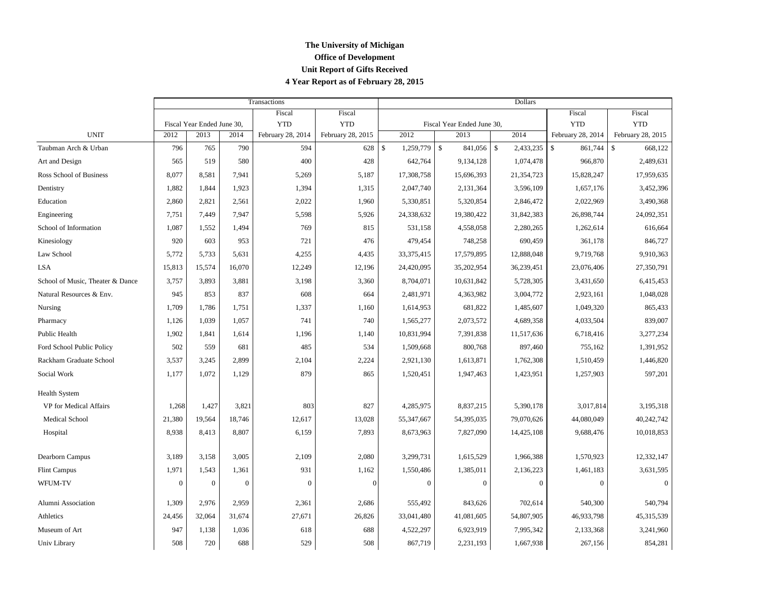## **The University of Michigan Office of Development Unit Report of Gifts Received 4 Year Report as of February 28, 2015**

|                                  |              |                            |                | Transactions      |                   | <b>Dollars</b>             |              |                          |               |              |                   |                          |
|----------------------------------|--------------|----------------------------|----------------|-------------------|-------------------|----------------------------|--------------|--------------------------|---------------|--------------|-------------------|--------------------------|
|                                  |              |                            |                | Fiscal            | Fiscal            |                            |              |                          |               | Fiscal       | Fiscal            |                          |
|                                  |              | Fiscal Year Ended June 30, |                | <b>YTD</b>        | <b>YTD</b>        | Fiscal Year Ended June 30, |              |                          |               | <b>YTD</b>   | <b>YTD</b>        |                          |
| <b>UNIT</b>                      | 2012         | 2013                       | 2014           | February 28, 2014 | February 28, 2015 |                            | 2012         | 2013                     |               | 2014         | February 28, 2014 | February 28, 2015        |
| Taubman Arch & Urban             | 796          | 765                        | 790            | 594               | 628               | $\mathbf{\hat{S}}$         | 1,259,779    | $\mathcal{S}$<br>841,056 | $\mathcal{S}$ | 2,433,235    | \$<br>861,744     | $\mathsf{\$}$<br>668,122 |
| Art and Design                   | 565          | 519                        | 580            | 400               | 428               |                            | 642,764      | 9,134,128                |               | 1,074,478    | 966,870           | 2,489,631                |
| Ross School of Business          | 8,077        | 8,581                      | 7.941          | 5,269             | 5,187             |                            | 17,308,758   | 15,696,393               |               | 21,354,723   | 15,828,247        | 17,959,635               |
| Dentistry                        | 1,882        | 1,844                      | 1,923          | 1,394             | 1,315             |                            | 2,047,740    | 2,131,364                |               | 3,596,109    | 1,657,176         | 3,452,396                |
| Education                        | 2,860        | 2,821                      | 2,561          | 2,022             | 1,960             |                            | 5,330,851    | 5,320,854                |               | 2,846,472    | 2,022,969         | 3,490,368                |
| Engineering                      | 7,751        | 7,449                      | 7,947          | 5,598             | 5,926             |                            | 24,338,632   | 19,380,422               |               | 31,842,383   | 26,898,744        | 24,092,351               |
| School of Information            | 1,087        | 1,552                      | 1,494          | 769               | 815               |                            | 531,158      | 4,558,058                |               | 2,280,265    | 1,262,614         | 616,664                  |
| Kinesiology                      | 920          | 603                        | 953            | 721               | 476               |                            | 479,454      | 748,258                  |               | 690,459      | 361,178           | 846,727                  |
| Law School                       | 5.772        | 5,733                      | 5,631          | 4,255             | 4,435             |                            | 33, 375, 415 | 17,579,895               |               | 12,888,048   | 9,719,768         | 9,910,363                |
| <b>LSA</b>                       | 15,813       | 15,574                     | 16,070         | 12,249            | 12,196            |                            | 24,420,095   | 35,202,954               |               | 36,239,451   | 23,076,406        | 27,350,791               |
| School of Music, Theater & Dance | 3,757        | 3,893                      | 3,881          | 3,198             | 3,360             |                            | 8,704,071    | 10,631,842               |               | 5,728,305    | 3,431,650         | 6,415,453                |
| Natural Resources & Env.         | 945          | 853                        | 837            | 608               | 664               |                            | 2,481,971    | 4,363,982                |               | 3,004,772    | 2,923,161         | 1,048,028                |
| Nursing                          | 1,709        | 1,786                      | 1,751          | 1,337             | 1,160             |                            | 1,614,953    | 681,822                  |               | 1,485,607    | 1,049,320         | 865,433                  |
| Pharmacy                         | 1,126        | 1,039                      | 1,057          | 741               | 740               |                            | 1,565,277    | 2,073,572                |               | 4,689,358    | 4,033,504         | 839,007                  |
| Public Health                    | 1.902        | 1,841                      | 1,614          | 1,196             | 1,140             |                            | 10,831,994   | 7,391,838                |               | 11,517,636   | 6,718,416         | 3,277,234                |
| Ford School Public Policy        | 502          | 559                        | 681            | 485               | 534               |                            | 1,509,668    | 800,768                  |               | 897,460      | 755,162           | 1,391,952                |
| Rackham Graduate School          | 3,537        | 3,245                      | 2,899          | 2,104             | 2,224             |                            | 2,921,130    | 1,613,871                |               | 1,762,308    | 1,510,459         | 1,446,820                |
| Social Work                      | 1,177        | 1,072                      | 1,129          | 879               | 865               |                            | 1,520,451    | 1,947,463                |               | 1,423,951    | 1,257,903         | 597,201                  |
| <b>Health System</b>             |              |                            |                |                   |                   |                            |              |                          |               |              |                   |                          |
| VP for Medical Affairs           | 1,268        | 1,427                      | 3,821          | 803               | 827               |                            | 4,285,975    | 8,837,215                |               | 5,390,178    | 3,017,814         | 3,195,318                |
| Medical School                   | 21,380       | 19,564                     | 18,746         | 12,617            | 13,028            |                            | 55,347,667   | 54,395,035               |               | 79,070,626   | 44,080,049        | 40,242,742               |
| Hospital                         | 8,938        | 8,413                      | 8,807          | 6,159             | 7,893             |                            | 8,673,963    | 7,827,090                |               | 14,425,108   | 9,688,476         | 10,018,853               |
| Dearborn Campus                  | 3,189        | 3,158                      | 3,005          | 2,109             | 2,080             |                            | 3,299,731    | 1,615,529                |               | 1,966,388    | 1,570,923         | 12,332,147               |
| <b>Flint Campus</b>              | 1,971        | 1,543                      | 1,361          | 931               | 1,162             |                            | 1,550,486    | 1,385,011                |               | 2,136,223    | 1,461,183         | 3,631,595                |
| WFUM-TV                          | $\mathbf{0}$ | $\overline{0}$             | $\overline{0}$ | $\theta$          | $\Omega$          |                            | $\theta$     | $\theta$                 |               | $\mathbf{0}$ | $\mathbf{0}$      | $\mathbf{0}$             |
| Alumni Association               | 1,309        | 2,976                      | 2,959          | 2,361             | 2,686             |                            | 555,492      | 843,626                  |               | 702,614      | 540,300           | 540,794                  |
| Athletics                        | 24,456       | 32,064                     | 31,674         | 27,671            | 26,826            |                            | 33,041,480   | 41,081,605               |               | 54,807,905   | 46,933,798        | 45,315,539               |
| Museum of Art                    | 947          | 1,138                      | 1,036          | 618               | 688               |                            | 4,522,297    | 6,923,919                |               | 7,995,342    | 2,133,368         | 3,241,960                |
| Univ Library                     | 508          | 720                        | 688            | 529               | 508               |                            | 867,719      | 2,231,193                |               | 1,667,938    | 267,156           | 854,281                  |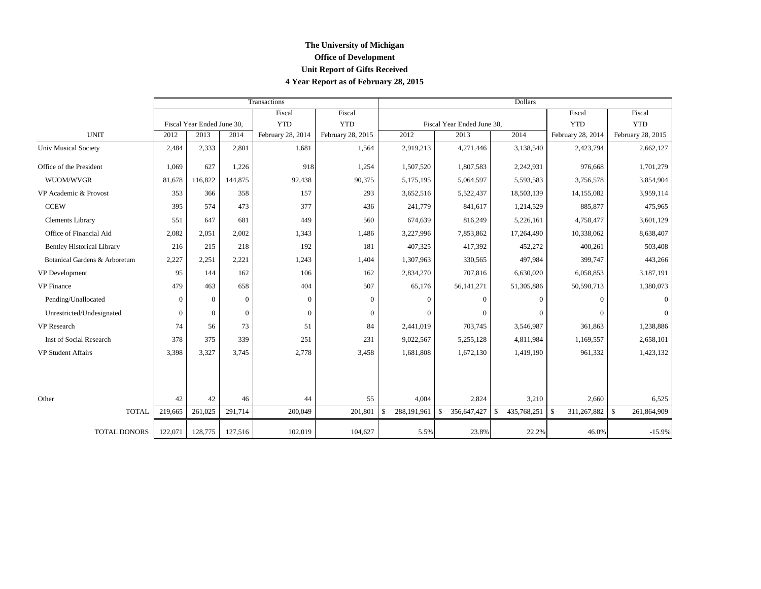## **The University of Michigan Office of Development Unit Report of Gifts Received 4 Year Report as of February 28, 2015**

|                                   |          |                            |          | Transactions      |                   | Dollars                           |                             |                              |                             |                              |  |  |
|-----------------------------------|----------|----------------------------|----------|-------------------|-------------------|-----------------------------------|-----------------------------|------------------------------|-----------------------------|------------------------------|--|--|
|                                   |          |                            |          | Fiscal            | Fiscal            |                                   |                             |                              | Fiscal                      | Fiscal                       |  |  |
|                                   |          | Fiscal Year Ended June 30, |          | <b>YTD</b>        | <b>YTD</b>        | Fiscal Year Ended June 30,        |                             |                              | <b>YTD</b>                  | <b>YTD</b>                   |  |  |
| <b>UNIT</b>                       | 2012     | 2013                       | 2014     | February 28, 2014 | February 28, 2015 | 2012                              | 2013                        | 2014                         | February 28, 2014           | February 28, 2015            |  |  |
| <b>Univ Musical Society</b>       | 2,484    | 2,333                      | 2,801    | 1.681             | 1,564             | 2,919,213                         | 4,271,446                   | 3,138,540                    | 2,423,794                   | 2,662,127                    |  |  |
| Office of the President           | 1,069    | 627                        | 1,226    | 918               | 1,254             | 1,507,520                         | 1,807,583                   | 2,242,931                    | 976,668                     | 1,701,279                    |  |  |
| WUOM/WVGR                         | 81,678   | 116,822                    | 144,875  | 92,438            | 90,375            | 5,175,195                         | 5,064,597                   | 5,593,583                    | 3,756,578                   | 3,854,904                    |  |  |
| VP Academic & Provost             | 353      | 366                        | 358      | 157               | 293               | 3,652,516                         | 5,522,437                   | 18,503,139                   | 14,155,082                  | 3,959,114                    |  |  |
| <b>CCEW</b>                       | 395      | 574                        | 473      | 377               | 436               | 241,779                           | 841,617                     | 1,214,529                    | 885,877                     | 475,965                      |  |  |
| Clements Library                  | 551      | 647                        | 681      | 449               | 560               | 674,639                           | 816,249                     | 5,226,161                    | 4,758,477                   | 3,601,129                    |  |  |
| Office of Financial Aid           | 2,082    | 2,051                      | 2,002    | 1,343             | 1,486             | 3,227,996                         | 7,853,862                   | 17,264,490                   | 10,338,062                  | 8,638,407                    |  |  |
| <b>Bentley Historical Library</b> | 216      | 215                        | 218      | 192               | 181               | 407,325                           | 417,392                     | 452,272                      | 400,261                     | 503,408                      |  |  |
| Botanical Gardens & Arboretum     | 2,227    | 2,251                      | 2,221    | 1,243             | 1,404             | 1,307,963                         | 330,565                     | 497,984                      | 399,747                     | 443,266                      |  |  |
| VP Development                    | 95       | 144                        | 162      | 106               | 162               | 2,834,270                         | 707,816                     | 6,630,020                    | 6,058,853                   | 3,187,191                    |  |  |
| <b>VP</b> Finance                 | 479      | 463                        | 658      | 404               | 507               | 65,176                            | 56, 141, 271                | 51,305,886                   | 50,590,713                  | 1,380,073                    |  |  |
| Pending/Unallocated               | $\theta$ | $\theta$                   | $\theta$ | $\theta$          | $\Omega$          | $\theta$                          | $\Omega$                    | $\theta$                     | $\mathbf{0}$                | $\Omega$                     |  |  |
| Unrestricted/Undesignated         | $\Omega$ | $\Omega$                   | $\Omega$ | $\mathbf{0}$      | $\Omega$          | $\Omega$                          | $\Omega$                    | $\Omega$                     | $\Omega$                    |                              |  |  |
| VP Research                       | 74       | 56                         | 73       | 51                | 84                | 2,441,019                         | 703,745                     | 3,546,987                    | 361,863                     | 1,238,886                    |  |  |
| Inst of Social Research           | 378      | 375                        | 339      | 251               | 231               | 9,022,567                         | 5,255,128                   | 4,811,984                    | 1,169,557                   | 2,658,101                    |  |  |
| <b>VP Student Affairs</b>         | 3,398    | 3,327                      | 3,745    | 2,778             | 3,458             | 1,681,808                         | 1,672,130                   | 1,419,190                    | 961,332                     | 1,423,132                    |  |  |
|                                   |          |                            |          |                   |                   |                                   |                             |                              |                             |                              |  |  |
| Other                             | 42       | 42                         | 46       | 44                | 55                | 4,004                             | 2,824                       | 3,210                        | 2,660                       | 6,525                        |  |  |
| <b>TOTAL</b>                      | 219,665  | 261,025                    | 291,714  | 200,049           | 201,801           | 288,191,961<br>$\mathbf{\hat{S}}$ | $\mathbb{S}$<br>356,647,427 | $\mathcal{S}$<br>435,768,251 | 311,267,882<br>$\mathbf{s}$ | $\mathcal{S}$<br>261,864,909 |  |  |
| TOTAL DONORS                      | 122,071  | 128,775                    | 127,516  | 102,019           | 104,627           | 5.5%                              | 23.8%                       | 22.2%                        | 46.0%                       | $-15.9%$                     |  |  |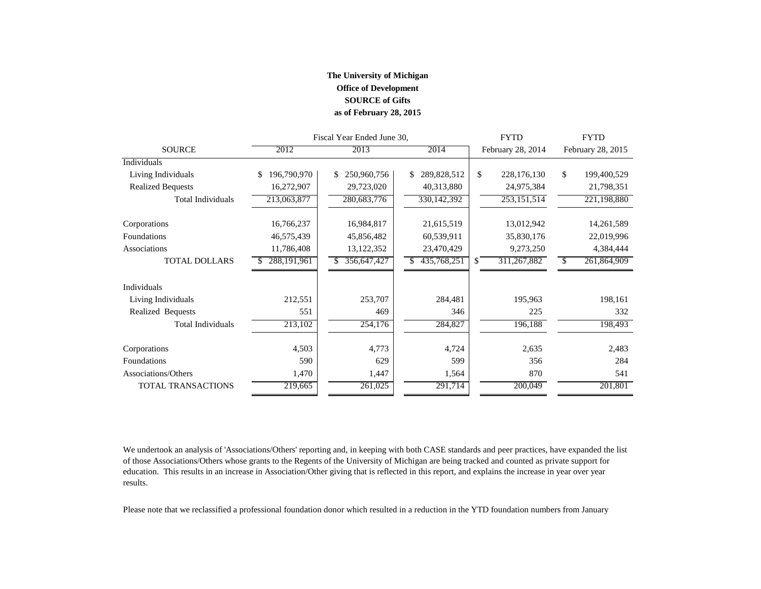### **The University of Michigan Office of Development SOURCE of Gifts as of February 28, 2015**

|                          |                   | Fiscal Year Ended June 30, |                   | <b>FYTD</b>       | <b>FYTD</b>                  |  |  |
|--------------------------|-------------------|----------------------------|-------------------|-------------------|------------------------------|--|--|
| <b>SOURCE</b>            | 2012              | 2013                       | 2014              | February 28, 2014 | February 28, 2015            |  |  |
| Individuals              |                   |                            |                   |                   |                              |  |  |
| Living Individuals       | 196,790,970<br>\$ | 250,960,756<br>\$.         | 289,828,512<br>\$ | \$<br>228,176,130 | \$<br>199,400,529            |  |  |
| <b>Realized Bequests</b> | 16,272,907        | 29,723,020                 | 40,313,880        | 24,975,384        | 21,798,351                   |  |  |
| <b>Total Individuals</b> | 213,063,877       | 280,683,776                | 330, 142, 392     | 253, 151, 514     | 221,198,880                  |  |  |
| Corporations             | 16,766,237        | 16,984,817                 | 21,615,519        | 13,012,942        | 14,261,589                   |  |  |
| Foundations              | 46,575,439        | 45,856,482                 | 60,539,911        | 35,830,176        | 22,019,996                   |  |  |
| Associations             | 11,786,408        | 13,122,352                 | 23,470,429        | 9,273,250         | 4,384,444                    |  |  |
| <b>TOTAL DOLLARS</b>     | 288, 191, 961     | 356,647,427                | 435,768,251       | \$<br>311,267,882 | 261,864,909<br><sup>\$</sup> |  |  |
| Individuals              |                   |                            |                   |                   |                              |  |  |
| Living Individuals       | 212,551           | 253,707                    | 284,481           | 195,963           | 198,161                      |  |  |
| Realized Bequests        | 551               | 469                        | 346               | 225               | 332                          |  |  |
| <b>Total Individuals</b> | 213,102           | 254,176                    | 284,827           | 196,188           | 198,493                      |  |  |
| Corporations             | 4,503             | 4,773                      | 4,724             | 2,635             | 2,483                        |  |  |
| Foundations              | 590               | 629                        | 599               | 356               | 284                          |  |  |
| Associations/Others      | 1,470             | 1,447                      | 1,564             | 870               | 541                          |  |  |
| TOTAL TRANSACTIONS       | 219,665           | 261,025                    | 291,714           | 200,049           | 201,801                      |  |  |

We undertook an analysis of 'Associations/Others' reporting and, in keeping with both CASE standards and peer practices, have expanded the list of those Associations/Others whose grants to the Regents of the University of Michigan are being tracked and counted as private support for education. This results in an increase in Association/Other giving that is reflected in this report, and explains the increase in year over year results.

Please note that we reclassified a professional foundation donor which resulted in a reduction in the YTD foundation numbers from January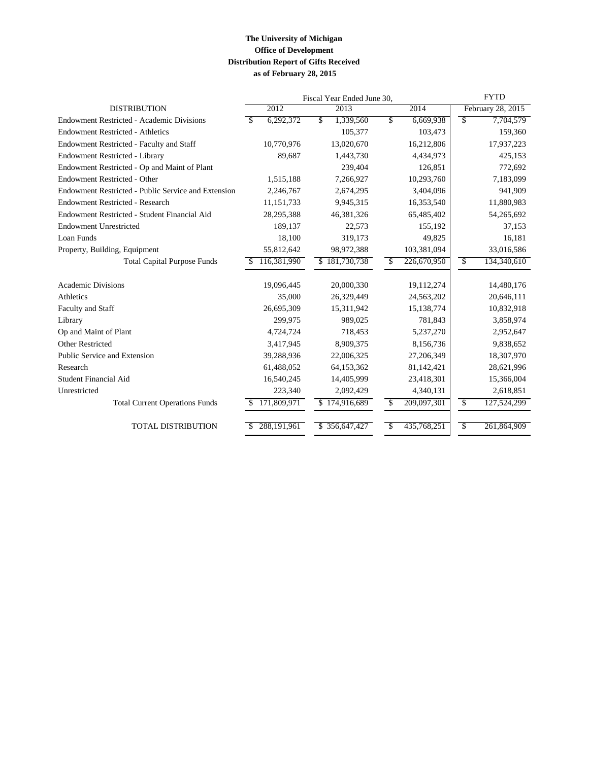### **The University of Michigan Office of Development Distribution Report of Gifts Received as of February 28, 2015**

|                                                     | Fiscal Year Ended June 30, | <b>FYTD</b>       |                                         |                   |
|-----------------------------------------------------|----------------------------|-------------------|-----------------------------------------|-------------------|
| <b>DISTRIBUTION</b>                                 | 2012                       | 2013              | 2014                                    | February 28, 2015 |
| <b>Endowment Restricted - Academic Divisions</b>    | 6,292,372<br>\$            | 1,339,560<br>\$   | \$<br>6,669,938                         | \$<br>7,704,579   |
| <b>Endowment Restricted - Athletics</b>             |                            | 105,377           | 103,473                                 | 159,360           |
| Endowment Restricted - Faculty and Staff            | 10,770,976                 | 13,020,670        | 16,212,806                              | 17,937,223        |
| Endowment Restricted - Library                      | 89,687                     | 1,443,730         | 4,434,973                               | 425,153           |
| Endowment Restricted - Op and Maint of Plant        |                            | 239.404           | 126,851                                 | 772,692           |
| Endowment Restricted - Other                        | 1,515,188                  | 7,266,927         | 10,293,760                              | 7,183,099         |
| Endowment Restricted - Public Service and Extension | 2,246,767                  | 2,674,295         | 3,404,096                               | 941,909           |
| <b>Endowment Restricted - Research</b>              | 11,151,733                 | 9,945,315         | 16,353,540                              | 11,880,983        |
| Endowment Restricted - Student Financial Aid        | 28,295,388                 | 46,381,326        | 65,485,402                              | 54,265,692        |
| <b>Endowment Unrestricted</b>                       | 189,137                    | 22,573            | 155,192                                 | 37,153            |
| Loan Funds                                          | 18,100                     | 319,173           | 49,825                                  | 16,181            |
| Property, Building, Equipment                       | 55,812,642                 | 98,972,388        | 103,381,094                             | 33,016,586        |
| <b>Total Capital Purpose Funds</b>                  | 116,381,990<br>£.          | \$181,730,738     | 226,670,950<br>$\overline{\mathcal{S}}$ | \$<br>134,340,610 |
|                                                     |                            |                   |                                         |                   |
| <b>Academic Divisions</b>                           | 19,096,445                 | 20,000,330        | 19,112,274                              | 14,480,176        |
| Athletics                                           | 35,000                     | 26,329,449        | 24,563,202                              | 20,646,111        |
| Faculty and Staff                                   | 26,695,309                 | 15,311,942        | 15,138,774                              | 10,832,918        |
| Library                                             | 299,975                    | 989.025           | 781,843                                 | 3,858,974         |
| Op and Maint of Plant                               | 4,724,724                  | 718,453           | 5,237,270                               | 2,952,647         |
| <b>Other Restricted</b>                             | 3,417,945                  | 8,909,375         | 8,156,736                               | 9,838,652         |
| Public Service and Extension                        | 39,288,936                 | 22,006,325        | 27,206,349                              | 18,307,970        |
| Research                                            | 61,488,052                 | 64,153,362        | 81,142,421                              | 28,621,996        |
| <b>Student Financial Aid</b>                        | 16,540,245                 | 14,405,999        | 23,418,301                              | 15,366,004        |
| Unrestricted                                        | 223,340                    | 2,092,429         | 4,340,131                               | 2,618,851         |
| <b>Total Current Operations Funds</b>               | 171,809,971                | \$174,916,689     | 209,097,301<br>\$                       | \$<br>127,524,299 |
| <b>TOTAL DISTRIBUTION</b>                           | 288,191,961                | 356,647,427<br>\$ | 435,768,251<br>\$                       | \$<br>261,864,909 |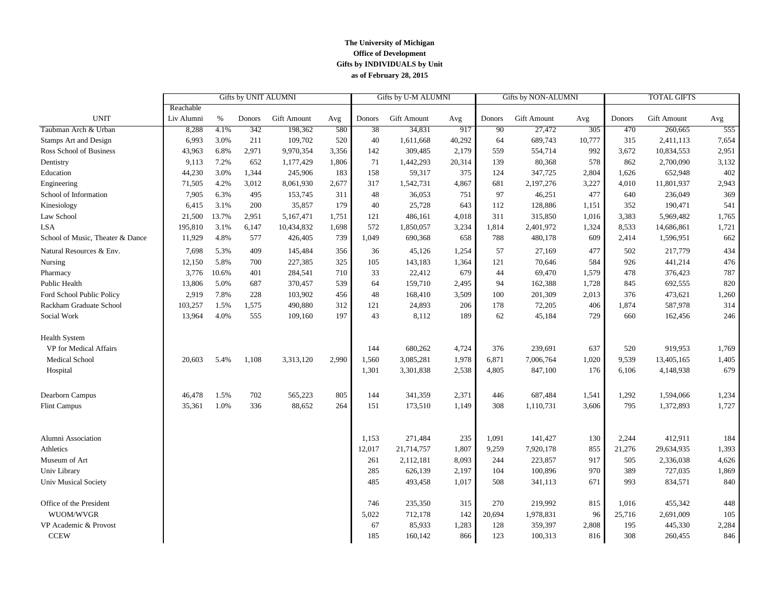#### **The University of Michigan Office of Development Gifts by INDIVIDUALS by Unit as of February 28, 2015**

|                                  |            |       | Gifts by UNIT ALUMNI |                    |       |        | Gifts by U-M ALUMNI |        | Gifts by NON-ALUMNI |             |        | <b>TOTAL GIFTS</b> |                    |       |
|----------------------------------|------------|-------|----------------------|--------------------|-------|--------|---------------------|--------|---------------------|-------------|--------|--------------------|--------------------|-------|
|                                  | Reachable  |       |                      |                    |       |        |                     |        |                     |             |        |                    |                    |       |
| <b>UNIT</b>                      | Liv Alumni | %     | Donors               | <b>Gift Amount</b> | Avg   | Donors | <b>Gift Amount</b>  | Avg    | Donors              | Gift Amount | Avg    | Donors             | <b>Gift Amount</b> | Avg   |
| Taubman Arch & Urban             | 8,288      | 4.1%  | 342                  | 198,362            | 580   | 38     | 34,831              | 917    | 90                  | 27,472      | 305    | 470                | 260,665            | 555   |
| Stamps Art and Design            | 6,993      | 3.0%  | 211                  | 109,702            | 520   | 40     | 1,611,668           | 40,292 | 64                  | 689,743     | 10,777 | 315                | 2,411,113          | 7,654 |
| Ross School of Business          | 43,963     | 6.8%  | 2,971                | 9,970,354          | 3,356 | 142    | 309,485             | 2,179  | 559                 | 554,714     | 992    | 3,672              | 10,834,553         | 2,951 |
| Dentistry                        | 9,113      | 7.2%  | 652                  | 1,177,429          | 1,806 | 71     | 1,442,293           | 20,314 | 139                 | 80,368      | 578    | 862                | 2,700,090          | 3,132 |
| Education                        | 44,230     | 3.0%  | 1,344                | 245,906            | 183   | 158    | 59,317              | 375    | 124                 | 347,725     | 2,804  | 1,626              | 652,948            | 402   |
| Engineering                      | 71,505     | 4.2%  | 3,012                | 8,061,930          | 2,677 | 317    | 1,542,731           | 4,867  | 681                 | 2,197,276   | 3,227  | 4,010              | 11,801,937         | 2,943 |
| School of Information            | 7,905      | 6.3%  | 495                  | 153,745            | 311   | 48     | 36,053              | 751    | 97                  | 46,251      | 477    | 640                | 236,049            | 369   |
| Kinesiology                      | 6,415      | 3.1%  | 200                  | 35,857             | 179   | 40     | 25,728              | 643    | 112                 | 128,886     | 1,151  | 352                | 190,471            | 541   |
| Law School                       | 21,500     | 13.7% | 2,951                | 5,167,471          | 1,751 | 121    | 486,161             | 4,018  | 311                 | 315,850     | 1,016  | 3,383              | 5,969,482          | 1,765 |
| <b>LSA</b>                       | 195,810    | 3.1%  | 6,147                | 10,434,832         | 1,698 | 572    | 1,850,057           | 3,234  | 1,814               | 2,401,972   | 1,324  | 8,533              | 14,686,861         | 1,721 |
| School of Music, Theater & Dance | 11,929     | 4.8%  | 577                  | 426,405            | 739   | 1,049  | 690,368             | 658    | 788                 | 480,178     | 609    | 2,414              | 1,596,951          | 662   |
| Natural Resources & Env.         | 7,698      | 5.3%  | 409                  | 145,484            | 356   | 36     | 45,126              | 1,254  | 57                  | 27,169      | 477    | 502                | 217,779            | 434   |
| Nursing                          | 12,150     | 5.8%  | 700                  | 227,385            | 325   | 105    | 143,183             | 1,364  | 121                 | 70,646      | 584    | 926                | 441,214            | 476   |
| Pharmacy                         | 3,776      | 10.6% | 401                  | 284,541            | 710   | 33     | 22,412              | 679    | 44                  | 69,470      | 1,579  | 478                | 376,423            | 787   |
| Public Health                    | 13,806     | 5.0%  | 687                  | 370,457            | 539   | 64     | 159,710             | 2,495  | 94                  | 162,388     | 1,728  | 845                | 692,555            | 820   |
| Ford School Public Policy        | 2,919      | 7.8%  | 228                  | 103,902            | 456   | 48     | 168,410             | 3,509  | 100                 | 201,309     | 2,013  | 376                | 473,621            | 1,260 |
| Rackham Graduate School          | 103,257    | 1.5%  | 1,575                | 490,880            | 312   | 121    | 24,893              | 206    | 178                 | 72,205      | 406    | 1,874              | 587,978            | 314   |
| Social Work                      | 13,964     | 4.0%  | 555                  | 109,160            | 197   | 43     | 8,112               | 189    | 62                  | 45,184      | 729    | 660                | 162,456            | 246   |
| <b>Health System</b>             |            |       |                      |                    |       |        |                     |        |                     |             |        |                    |                    |       |
| VP for Medical Affairs           |            |       |                      |                    |       | 144    | 680,262             | 4,724  | 376                 | 239,691     | 637    | 520                | 919,953            | 1,769 |
| <b>Medical School</b>            | 20,603     | 5.4%  | 1,108                | 3,313,120          | 2,990 | 1,560  | 3,085,281           | 1,978  | 6,871               | 7,006,764   | 1,020  | 9,539              | 13,405,165         | 1,405 |
| Hospital                         |            |       |                      |                    |       | 1,301  | 3,301,838           | 2,538  | 4,805               | 847,100     | 176    | 6,106              | 4,148,938          | 679   |
| Dearborn Campus                  | 46,478     | 1.5%  | 702                  | 565,223            | 805   | 144    | 341,359             | 2,371  | 446                 | 687,484     | 1,541  | 1,292              | 1,594,066          | 1,234 |
| <b>Flint Campus</b>              | 35,361     | 1.0%  | 336                  | 88,652             | 264   | 151    | 173,510             | 1,149  | 308                 | 1,110,731   | 3,606  | 795                | 1,372,893          | 1,727 |
|                                  |            |       |                      |                    |       |        |                     |        |                     |             |        |                    |                    |       |
| Alumni Association               |            |       |                      |                    |       | 1,153  | 271,484             | 235    | 1,091               | 141,427     | 130    | 2,244              | 412,911            | 184   |
| Athletics                        |            |       |                      |                    |       | 12,017 | 21,714,757          | 1,807  | 9,259               | 7,920,178   | 855    | 21,276             | 29,634,935         | 1,393 |
| Museum of Art                    |            |       |                      |                    |       | 261    | 2,112,181           | 8,093  | 244                 | 223,857     | 917    | 505                | 2,336,038          | 4,626 |
| Univ Library                     |            |       |                      |                    |       | 285    | 626,139             | 2,197  | 104                 | 100,896     | 970    | 389                | 727,035            | 1,869 |
| <b>Univ Musical Society</b>      |            |       |                      |                    |       | 485    | 493,458             | 1,017  | 508                 | 341,113     | 671    | 993                | 834,571            | 840   |
| Office of the President          |            |       |                      |                    |       | 746    | 235,350             | 315    | 270                 | 219,992     | 815    | 1,016              | 455,342            | 448   |
| WUOM/WVGR                        |            |       |                      |                    |       | 5,022  | 712,178             | 142    | 20,694              | 1,978,831   | 96     | 25,716             | 2,691,009          | 105   |
| VP Academic & Provost            |            |       |                      |                    |       | 67     | 85,933              | 1,283  | 128                 | 359,397     | 2,808  | 195                | 445,330            | 2,284 |
| <b>CCEW</b>                      |            |       |                      |                    |       | 185    | 160,142             | 866    | 123                 | 100,313     | 816    | 308                | 260,455            | 846   |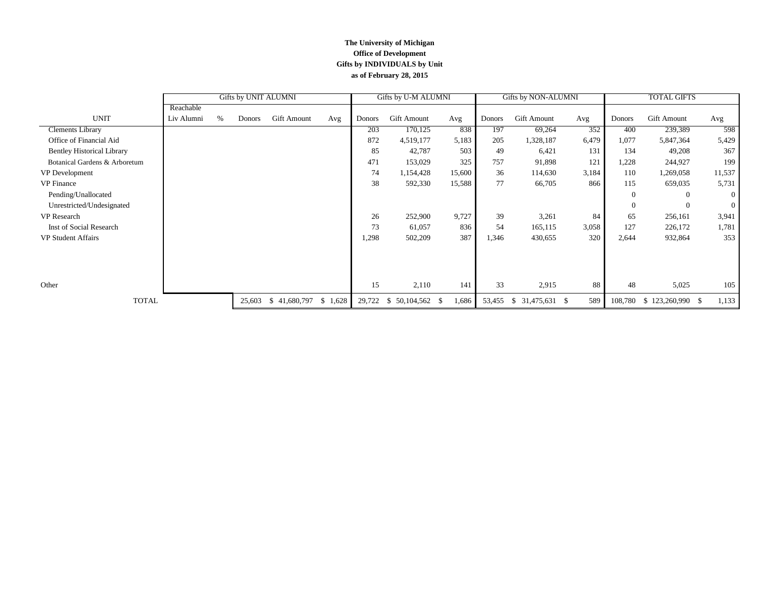#### **The University of Michigan Office of Development Gifts by INDIVIDUALS by Unit as of February 28, 2015**

|                                   |            | Gifts by UNIT ALUMNI |        |              |         |        | Gifts by U-M ALUMNI |        |        | Gifts by NON-ALUMNI |       | <b>TOTAL GIFTS</b> |                     |                |
|-----------------------------------|------------|----------------------|--------|--------------|---------|--------|---------------------|--------|--------|---------------------|-------|--------------------|---------------------|----------------|
|                                   | Reachable  |                      |        |              |         |        |                     |        |        |                     |       |                    |                     |                |
| <b>UNIT</b>                       | Liv Alumni | %                    | Donors | Gift Amount  | Avg     | Donors | Gift Amount         | Avg    | Donors | <b>Gift Amount</b>  | Avg   | Donors             | Gift Amount         | Avg            |
| <b>Clements Library</b>           |            |                      |        |              |         | 203    | 170,125             | 838    | 197    | 69,264              | 352   | 400                | 239,389             | 598            |
| Office of Financial Aid           |            |                      |        |              |         | 872    | 4,519,177           | 5,183  | 205    | 1,328,187           | 6,479 | 1,077              | 5,847,364           | 5,429          |
| <b>Bentley Historical Library</b> |            |                      |        |              |         | 85     | 42,787              | 503    | 49     | 6,421               | 131   | 134                | 49,208              | 367            |
| Botanical Gardens & Arboretum     |            |                      |        |              |         | 471    | 153,029             | 325    | 757    | 91,898              | 121   | 1,228              | 244,927             | 199            |
| VP Development                    |            |                      |        |              |         | 74     | 1,154,428           | 15,600 | 36     | 114,630             | 3,184 | 110                | 1,269,058           | 11,537         |
| <b>VP</b> Finance                 |            |                      |        |              |         | 38     | 592,330             | 15,588 | 77     | 66,705              | 866   | 115                | 659,035             | 5,731          |
| Pending/Unallocated               |            |                      |        |              |         |        |                     |        |        |                     |       | $\theta$           | $\Omega$            | $\theta$       |
| Unrestricted/Undesignated         |            |                      |        |              |         |        |                     |        |        |                     |       | $\theta$           | $\Omega$            | $\overline{0}$ |
| VP Research                       |            |                      |        |              |         | 26     | 252,900             | 9,727  | 39     | 3,261               | 84    | 65                 | 256,161             | 3,941          |
| Inst of Social Research           |            |                      |        |              |         | 73     | 61,057              | 836    | 54     | 165,115             | 3,058 | 127                | 226,172             | 1,781          |
| VP Student Affairs                |            |                      |        |              |         | 1,298  | 502,209             | 387    | 1,346  | 430,655             | 320   | 2,644              | 932,864             | 353            |
|                                   |            |                      |        |              |         |        |                     |        |        |                     |       |                    |                     |                |
|                                   |            |                      |        |              |         |        |                     |        |        |                     |       |                    |                     |                |
|                                   |            |                      |        |              |         |        |                     |        |        |                     |       |                    |                     |                |
| Other                             |            |                      |        |              |         | 15     | 2,110               | 141    | 33     | 2,915               | 88    | 48                 | 5,025               | 105            |
| <b>TOTAL</b>                      |            |                      | 25,603 | \$41,680,797 | \$1,628 | 29,722 | 50,104,562 \$<br>-S | 1,686  | 53,455 | $$31,475,631$ \;    | 589   | 108,780            | $$123,260,990$ \ \$ | 1,133          |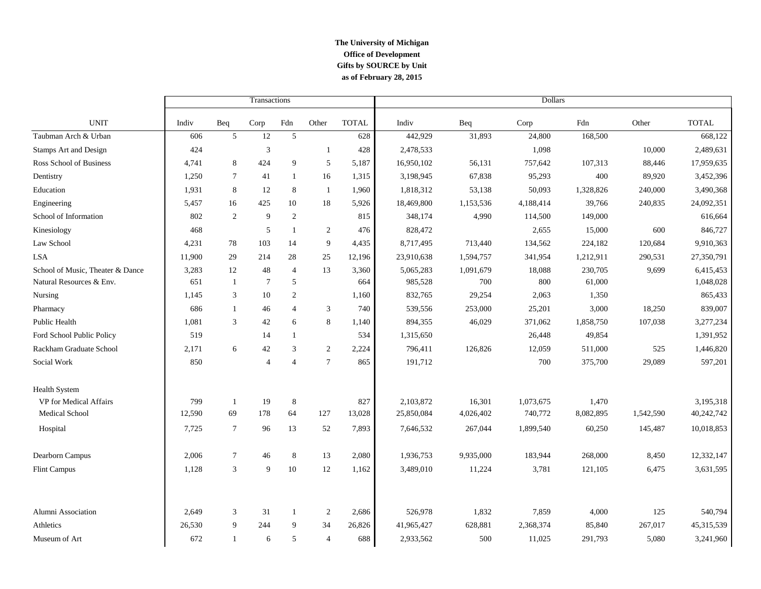### **The University of Michigan Office of Development as of February 28, 2015 Gifts by SOURCE by Unit**

|                                  |        |                | Transactions                |                |                 |              | <b>Dollars</b> |           |           |           |           |              |  |
|----------------------------------|--------|----------------|-----------------------------|----------------|-----------------|--------------|----------------|-----------|-----------|-----------|-----------|--------------|--|
| <b>UNIT</b>                      | Indiv  | Beq            | Corp                        | Fdn            | Other           | <b>TOTAL</b> | Indiv          | Beq       | Corp      | Fdn       | Other     | <b>TOTAL</b> |  |
| Taubman Arch & Urban             | 606    | 5              | 12                          | 5              |                 | 628          | 442,929        | 31,893    | 24,800    | 168,500   |           | 668,122      |  |
| Stamps Art and Design            | 424    |                | $\ensuremath{\mathfrak{Z}}$ |                | $\mathbf{1}$    | 428          | 2,478,533      |           | 1,098     |           | 10,000    | 2,489,631    |  |
| Ross School of Business          | 4,741  | 8              | 424                         | 9              | 5               | 5,187        | 16,950,102     | 56,131    | 757,642   | 107,313   | 88,446    | 17,959,635   |  |
| Dentistry                        | 1,250  | $\tau$         | 41                          | $\mathbf{1}$   | 16              | 1,315        | 3,198,945      | 67,838    | 95,293    | 400       | 89,920    | 3,452,396    |  |
| Education                        | 1,931  | 8              | 12                          | 8              | $\mathbf{1}$    | 1,960        | 1,818,312      | 53,138    | 50,093    | 1,328,826 | 240,000   | 3,490,368    |  |
| Engineering                      | 5,457  | 16             | 425                         | 10             | 18              | 5,926        | 18,469,800     | 1,153,536 | 4,188,414 | 39,766    | 240,835   | 24,092,351   |  |
| School of Information            | 802    | 2              | 9                           | $\overline{c}$ |                 | 815          | 348,174        | 4,990     | 114,500   | 149,000   |           | 616,664      |  |
| Kinesiology                      | 468    |                | 5                           | 1              | 2               | 476          | 828,472        |           | 2,655     | 15,000    | 600       | 846,727      |  |
| Law School                       | 4,231  | 78             | 103                         | 14             | 9               | 4,435        | 8,717,495      | 713,440   | 134,562   | 224,182   | 120,684   | 9,910,363    |  |
| <b>LSA</b>                       | 11,900 | 29             | 214                         | 28             | 25              | 12,196       | 23,910,638     | 1,594,757 | 341,954   | 1,212,911 | 290,531   | 27,350,791   |  |
| School of Music, Theater & Dance | 3,283  | 12             | 48                          | $\overline{4}$ | 13              | 3,360        | 5,065,283      | 1,091,679 | 18,088    | 230,705   | 9,699     | 6,415,453    |  |
| Natural Resources & Env.         | 651    | $\mathbf{1}$   | $\overline{7}$              | 5              |                 | 664          | 985,528        | 700       | 800       | 61,000    |           | 1,048,028    |  |
| Nursing                          | 1,145  | 3              | 10                          | $\overline{2}$ |                 | 1,160        | 832,765        | 29,254    | 2,063     | 1,350     |           | 865,433      |  |
| Pharmacy                         | 686    | $\mathbf{1}$   | 46                          | $\overline{4}$ | 3               | 740          | 539,556        | 253,000   | 25,201    | 3,000     | 18,250    | 839,007      |  |
| <b>Public Health</b>             | 1.081  | 3              | 42                          | 6              | 8               | 1,140        | 894,355        | 46,029    | 371,062   | 1,858,750 | 107,038   | 3,277,234    |  |
| Ford School Public Policy        | 519    |                | 14                          | 1              |                 | 534          | 1,315,650      |           | 26,448    | 49,854    |           | 1,391,952    |  |
| Rackham Graduate School          | 2,171  | 6              | 42                          | 3              | 2               | 2,224        | 796,411        | 126,826   | 12,059    | 511,000   | 525       | 1,446,820    |  |
| Social Work                      | 850    |                | $\overline{4}$              | $\overline{4}$ | $7\phantom{.0}$ | 865          | 191,712        |           | 700       | 375,700   | 29,089    | 597,201      |  |
| Health System                    |        |                |                             |                |                 |              |                |           |           |           |           |              |  |
| VP for Medical Affairs           | 799    | -1             | 19                          | $\bf 8$        |                 | 827          | 2,103,872      | 16,301    | 1,073,675 | 1,470     |           | 3,195,318    |  |
| Medical School                   | 12,590 | 69             | 178                         | 64             | 127             | 13,028       | 25,850,084     | 4,026,402 | 740,772   | 8,082,895 | 1,542,590 | 40,242,742   |  |
| Hospital                         | 7,725  | $\overline{7}$ | 96                          | 13             | 52              | 7,893        | 7,646,532      | 267,044   | 1,899,540 | 60,250    | 145,487   | 10,018,853   |  |
| Dearborn Campus                  | 2,006  | $\tau$         | 46                          | 8              | 13              | 2,080        | 1,936,753      | 9,935,000 | 183,944   | 268,000   | 8,450     | 12,332,147   |  |
| Flint Campus                     | 1,128  | 3              | 9                           | 10             | 12              | 1,162        | 3,489,010      | 11,224    | 3,781     | 121,105   | 6,475     | 3,631,595    |  |
|                                  |        |                |                             |                |                 |              |                |           |           |           |           |              |  |
| Alumni Association               | 2,649  | 3              | 31                          | 1              | 2               | 2,686        | 526,978        | 1,832     | 7,859     | 4,000     | 125       | 540,794      |  |
| Athletics                        | 26,530 | 9              | 244                         | 9              | 34              | 26,826       | 41,965,427     | 628,881   | 2,368,374 | 85,840    | 267,017   | 45,315,539   |  |
| Museum of Art                    | 672    | $\mathbf{1}$   | 6                           | 5              | $\overline{4}$  | 688          | 2,933,562      | 500       | 11,025    | 291,793   | 5,080     | 3,241,960    |  |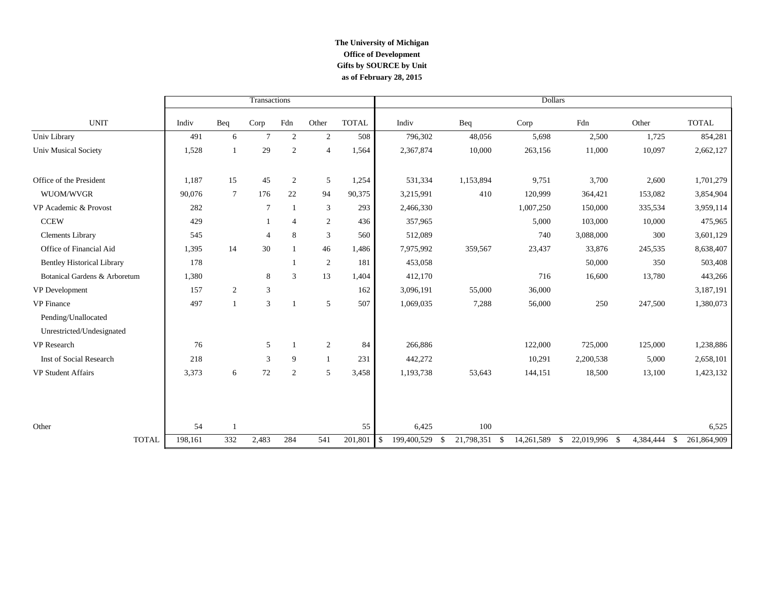### **The University of Michigan Office of Development as of February 28, 2015 Gifts by SOURCE by Unit**

|                                   |         |                 | Transactions   |                |                |              | <b>Dollars</b>               |                  |                     |               |           |                     |
|-----------------------------------|---------|-----------------|----------------|----------------|----------------|--------------|------------------------------|------------------|---------------------|---------------|-----------|---------------------|
| <b>UNIT</b>                       | Indiv   | Beq             | Corp           | Fdn            | Other          | <b>TOTAL</b> | Indiv                        | Beq              | Corp                | Fdn           | Other     | <b>TOTAL</b>        |
| Univ Library                      | 491     | 6               | $\tau$         | $\mathbf{2}$   | 2              | 508          | 796,302                      | 48,056           | 5,698               | 2,500         | 1,725     | 854,281             |
| <b>Univ Musical Society</b>       | 1,528   | $\mathbf{1}$    | 29             | $\sqrt{2}$     | $\overline{4}$ | 1,564        | 2,367,874                    | 10,000           | 263,156             | 11,000        | 10,097    | 2,662,127           |
| Office of the President           | 1,187   | 15              | 45             | $\overline{2}$ | 5              | 1,254        | 531,334                      | 1,153,894        | 9,751               | 3,700         | 2,600     | 1,701,279           |
| WUOM/WVGR                         | 90,076  | $7\phantom{.0}$ | 176            | 22             | 94             | 90,375       | 3,215,991                    | 410              | 120,999             | 364,421       | 153,082   | 3,854,904           |
| VP Academic & Provost             | 282     |                 | 7              | $\mathbf{1}$   | 3              | 293          | 2,466,330                    |                  | 1,007,250           | 150,000       | 335,534   | 3,959,114           |
| <b>CCEW</b>                       | 429     |                 |                | $\overline{4}$ | $\overline{2}$ | 436          | 357,965                      |                  | 5,000               | 103,000       | 10,000    | 475,965             |
| <b>Clements Library</b>           | 545     |                 | $\overline{4}$ | 8              | 3              | 560          | 512,089                      |                  | 740                 | 3,088,000     | 300       | 3,601,129           |
| Office of Financial Aid           | 1,395   | 14              | 30             | $\mathbf{1}$   | 46             | 1,486        | 7,975,992                    | 359,567          | 23,437              | 33,876        | 245,535   | 8,638,407           |
| <b>Bentley Historical Library</b> | 178     |                 |                |                | 2              | 181          | 453,058                      |                  |                     | 50,000        | 350       | 503,408             |
| Botanical Gardens & Arboretum     | 1,380   |                 | 8              | 3              | 13             | 1,404        | 412,170                      |                  | 716                 | 16,600        | 13,780    | 443,266             |
| VP Development                    | 157     | 2               | 3              |                |                | 162          | 3,096,191                    | 55,000           | 36,000              |               |           | 3,187,191           |
| <b>VP</b> Finance                 | 497     | $\overline{1}$  | 3              |                | 5              | 507          | 1,069,035                    | 7,288            | 56,000              | 250           | 247,500   | 1,380,073           |
| Pending/Unallocated               |         |                 |                |                |                |              |                              |                  |                     |               |           |                     |
| Unrestricted/Undesignated         |         |                 |                |                |                |              |                              |                  |                     |               |           |                     |
| <b>VP</b> Research                | 76      |                 | 5              |                | 2              | 84           | 266,886                      |                  | 122,000             | 725,000       | 125,000   | 1,238,886           |
| Inst of Social Research           | 218     |                 | 3              | 9              | -1             | 231          | 442,272                      |                  | 10,291              | 2,200,538     | 5,000     | 2,658,101           |
| VP Student Affairs                | 3,373   | 6               | 72             | 2              | 5              | 3,458        | 1,193,738                    | 53,643           | 144,151             | 18,500        | 13,100    | 1,423,132           |
|                                   |         |                 |                |                |                |              |                              |                  |                     |               |           |                     |
| Other                             | 54      | $\overline{1}$  |                |                |                | 55           | 6,425                        | 100              |                     |               |           | 6,525               |
| <b>TOTAL</b>                      | 198,161 | 332             | 2,483          | 284            | 541            | 201,801      | <sup>\$</sup><br>199,400,529 | 21,798,351<br>-S | 14,261,589 \$<br>\$ | 22,019,996 \$ | 4,384,444 | 261,864,909<br>- \$ |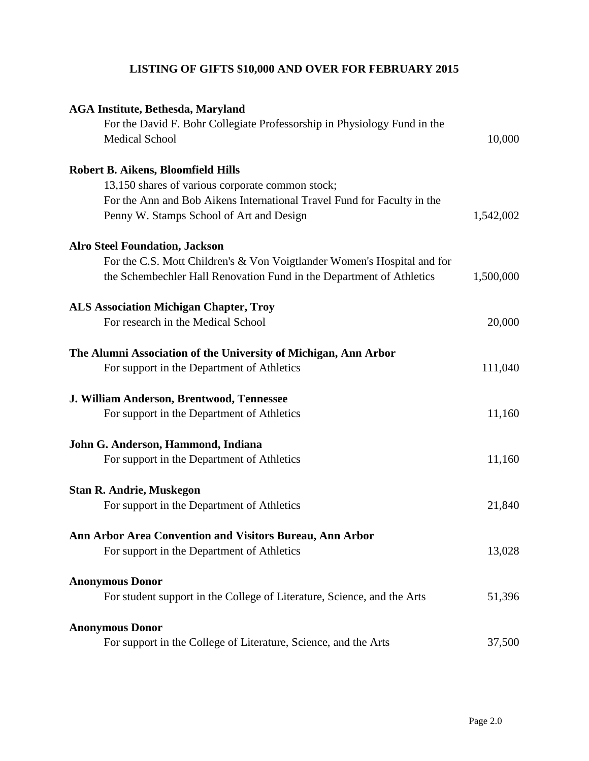# **LISTING OF GIFTS \$10,000 AND OVER FOR FEBRUARY 2015**

| <b>AGA Institute, Bethesda, Maryland</b>                                                          |           |
|---------------------------------------------------------------------------------------------------|-----------|
| For the David F. Bohr Collegiate Professorship in Physiology Fund in the<br><b>Medical School</b> | 10,000    |
|                                                                                                   |           |
| Robert B. Aikens, Bloomfield Hills                                                                |           |
| 13,150 shares of various corporate common stock;                                                  |           |
| For the Ann and Bob Aikens International Travel Fund for Faculty in the                           |           |
| Penny W. Stamps School of Art and Design                                                          | 1,542,002 |
| <b>Alro Steel Foundation, Jackson</b>                                                             |           |
| For the C.S. Mott Children's & Von Voigtlander Women's Hospital and for                           |           |
| the Schembechler Hall Renovation Fund in the Department of Athletics                              | 1,500,000 |
| <b>ALS Association Michigan Chapter, Troy</b>                                                     |           |
| For research in the Medical School                                                                | 20,000    |
| The Alumni Association of the University of Michigan, Ann Arbor                                   |           |
| For support in the Department of Athletics                                                        | 111,040   |
| J. William Anderson, Brentwood, Tennessee                                                         |           |
| For support in the Department of Athletics                                                        | 11,160    |
| John G. Anderson, Hammond, Indiana                                                                |           |
| For support in the Department of Athletics                                                        | 11,160    |
| <b>Stan R. Andrie, Muskegon</b>                                                                   |           |
| For support in the Department of Athletics                                                        | 21,840    |
| Ann Arbor Area Convention and Visitors Bureau, Ann Arbor                                          |           |
| For support in the Department of Athletics                                                        | 13,028    |
| <b>Anonymous Donor</b>                                                                            |           |
| For student support in the College of Literature, Science, and the Arts                           | 51,396    |
| <b>Anonymous Donor</b>                                                                            |           |
| For support in the College of Literature, Science, and the Arts                                   | 37,500    |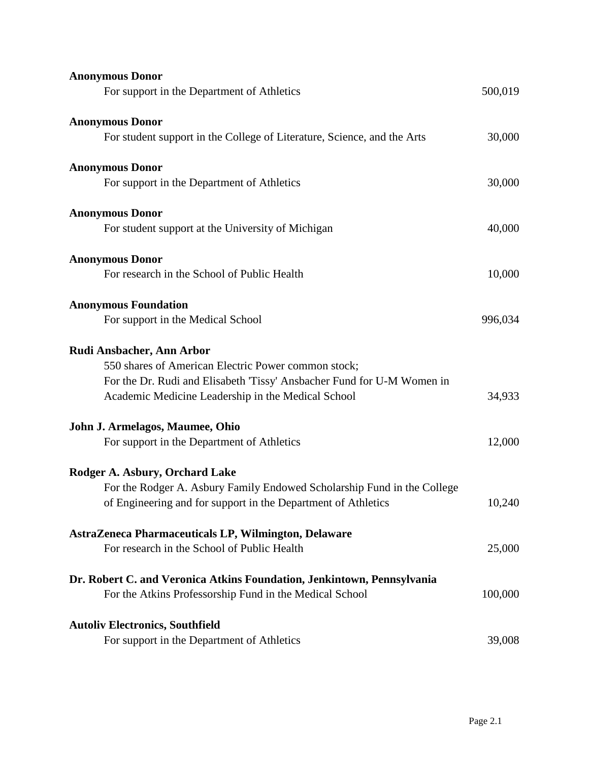| <b>Anonymous Donor</b>                                                  |         |
|-------------------------------------------------------------------------|---------|
| For support in the Department of Athletics                              | 500,019 |
| <b>Anonymous Donor</b>                                                  |         |
| For student support in the College of Literature, Science, and the Arts | 30,000  |
| <b>Anonymous Donor</b>                                                  |         |
| For support in the Department of Athletics                              | 30,000  |
| <b>Anonymous Donor</b>                                                  |         |
| For student support at the University of Michigan                       | 40,000  |
| <b>Anonymous Donor</b>                                                  |         |
| For research in the School of Public Health                             | 10,000  |
| <b>Anonymous Foundation</b>                                             |         |
| For support in the Medical School                                       | 996,034 |
| <b>Rudi Ansbacher, Ann Arbor</b>                                        |         |
| 550 shares of American Electric Power common stock;                     |         |
| For the Dr. Rudi and Elisabeth 'Tissy' Ansbacher Fund for U-M Women in  |         |
| Academic Medicine Leadership in the Medical School                      | 34,933  |
| John J. Armelagos, Maumee, Ohio                                         |         |
| For support in the Department of Athletics                              | 12,000  |
| Rodger A. Asbury, Orchard Lake                                          |         |
| For the Rodger A. Asbury Family Endowed Scholarship Fund in the College |         |
| of Engineering and for support in the Department of Athletics           | 10,240  |
| AstraZeneca Pharmaceuticals LP, Wilmington, Delaware                    |         |
| For research in the School of Public Health                             | 25,000  |
| Dr. Robert C. and Veronica Atkins Foundation, Jenkintown, Pennsylvania  |         |
| For the Atkins Professorship Fund in the Medical School                 | 100,000 |
| <b>Autoliv Electronics, Southfield</b>                                  |         |
| For support in the Department of Athletics                              | 39,008  |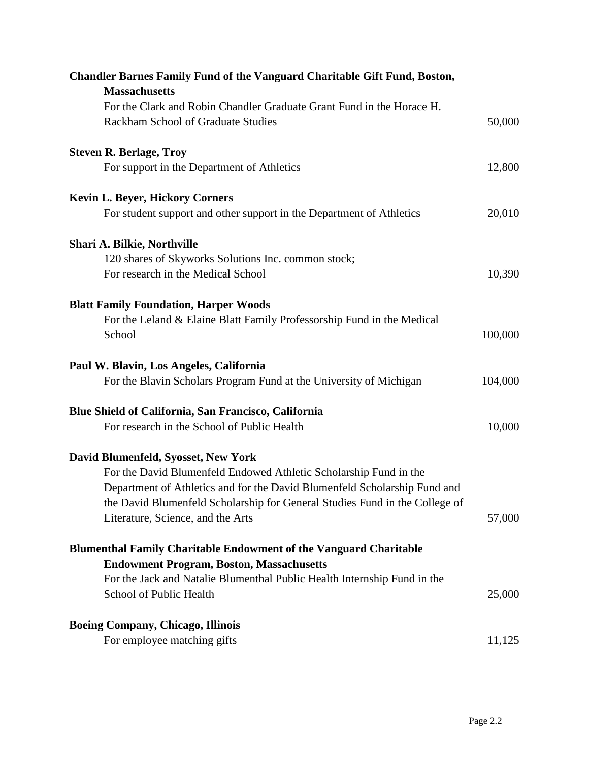| <b>Chandler Barnes Family Fund of the Vanguard Charitable Gift Fund, Boston,</b><br><b>Massachusetts</b>    |         |
|-------------------------------------------------------------------------------------------------------------|---------|
| For the Clark and Robin Chandler Graduate Grant Fund in the Horace H.<br>Rackham School of Graduate Studies | 50,000  |
| <b>Steven R. Berlage, Troy</b>                                                                              |         |
| For support in the Department of Athletics                                                                  | 12,800  |
| <b>Kevin L. Beyer, Hickory Corners</b>                                                                      |         |
| For student support and other support in the Department of Athletics                                        | 20,010  |
| Shari A. Bilkie, Northville                                                                                 |         |
| 120 shares of Skyworks Solutions Inc. common stock;                                                         |         |
| For research in the Medical School                                                                          | 10,390  |
| <b>Blatt Family Foundation, Harper Woods</b>                                                                |         |
| For the Leland & Elaine Blatt Family Professorship Fund in the Medical                                      |         |
| School                                                                                                      | 100,000 |
| Paul W. Blavin, Los Angeles, California                                                                     |         |
| For the Blavin Scholars Program Fund at the University of Michigan                                          | 104,000 |
| Blue Shield of California, San Francisco, California                                                        |         |
| For research in the School of Public Health                                                                 | 10,000  |
| David Blumenfeld, Syosset, New York                                                                         |         |
| For the David Blumenfeld Endowed Athletic Scholarship Fund in the                                           |         |
| Department of Athletics and for the David Blumenfeld Scholarship Fund and                                   |         |
| the David Blumenfeld Scholarship for General Studies Fund in the College of                                 |         |
| Literature, Science, and the Arts                                                                           | 57,000  |
| <b>Blumenthal Family Charitable Endowment of the Vanguard Charitable</b>                                    |         |
| <b>Endowment Program, Boston, Massachusetts</b>                                                             |         |
| For the Jack and Natalie Blumenthal Public Health Internship Fund in the                                    |         |
| School of Public Health                                                                                     | 25,000  |
| <b>Boeing Company, Chicago, Illinois</b>                                                                    |         |
| For employee matching gifts                                                                                 | 11,125  |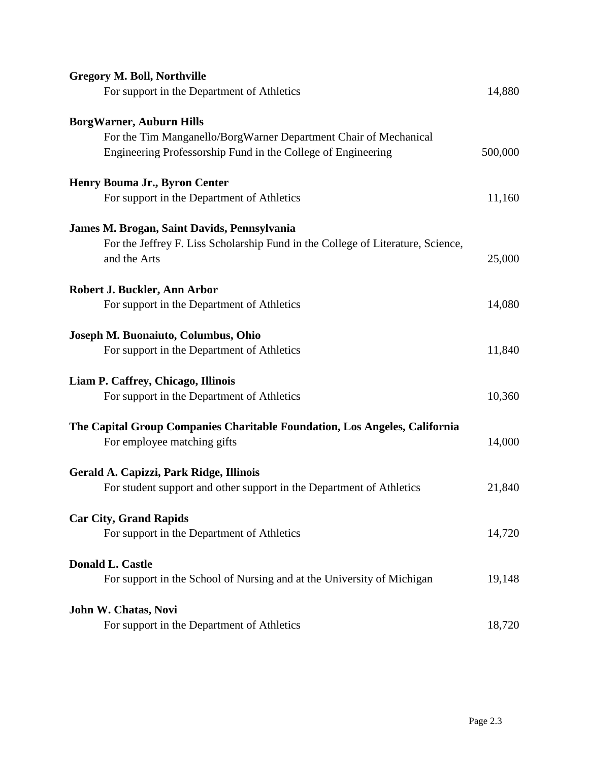| <b>Gregory M. Boll, Northville</b>                                              |         |
|---------------------------------------------------------------------------------|---------|
| For support in the Department of Athletics                                      | 14,880  |
| <b>BorgWarner, Auburn Hills</b>                                                 |         |
| For the Tim Manganello/BorgWarner Department Chair of Mechanical                |         |
| Engineering Professorship Fund in the College of Engineering                    | 500,000 |
| Henry Bouma Jr., Byron Center                                                   |         |
| For support in the Department of Athletics                                      | 11,160  |
| James M. Brogan, Saint Davids, Pennsylvania                                     |         |
| For the Jeffrey F. Liss Scholarship Fund in the College of Literature, Science, |         |
| and the Arts                                                                    | 25,000  |
| Robert J. Buckler, Ann Arbor                                                    |         |
| For support in the Department of Athletics                                      | 14,080  |
| Joseph M. Buonaiuto, Columbus, Ohio                                             |         |
| For support in the Department of Athletics                                      | 11,840  |
| Liam P. Caffrey, Chicago, Illinois                                              |         |
| For support in the Department of Athletics                                      | 10,360  |
| The Capital Group Companies Charitable Foundation, Los Angeles, California      |         |
| For employee matching gifts                                                     | 14,000  |
| Gerald A. Capizzi, Park Ridge, Illinois                                         |         |
| For student support and other support in the Department of Athletics            | 21,840  |
| <b>Car City, Grand Rapids</b>                                                   |         |
| For support in the Department of Athletics                                      | 14,720  |
| <b>Donald L. Castle</b>                                                         |         |
| For support in the School of Nursing and at the University of Michigan          | 19,148  |
| John W. Chatas, Novi                                                            |         |
| For support in the Department of Athletics                                      | 18,720  |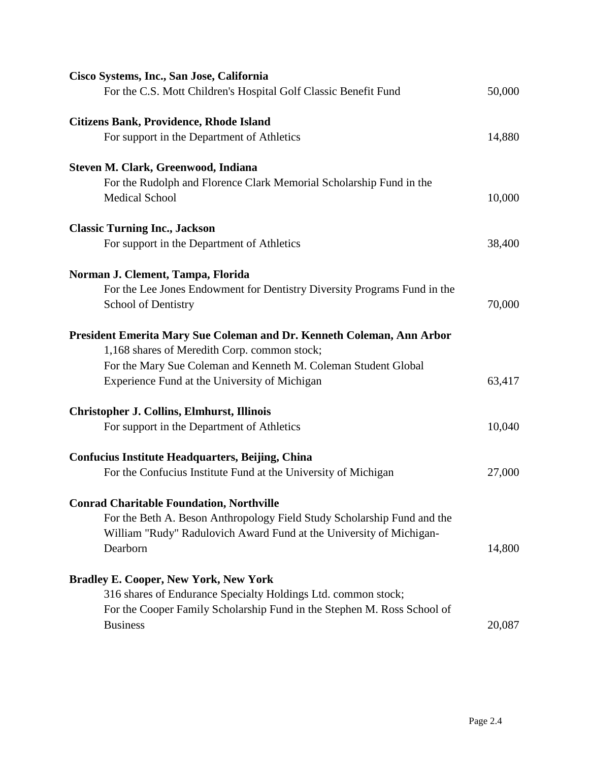| Cisco Systems, Inc., San Jose, California                                |        |
|--------------------------------------------------------------------------|--------|
| For the C.S. Mott Children's Hospital Golf Classic Benefit Fund          | 50,000 |
| <b>Citizens Bank, Providence, Rhode Island</b>                           |        |
| For support in the Department of Athletics                               | 14,880 |
| Steven M. Clark, Greenwood, Indiana                                      |        |
| For the Rudolph and Florence Clark Memorial Scholarship Fund in the      |        |
| <b>Medical School</b>                                                    | 10,000 |
| <b>Classic Turning Inc., Jackson</b>                                     |        |
| For support in the Department of Athletics                               | 38,400 |
| Norman J. Clement, Tampa, Florida                                        |        |
| For the Lee Jones Endowment for Dentistry Diversity Programs Fund in the |        |
| <b>School of Dentistry</b>                                               | 70,000 |
| President Emerita Mary Sue Coleman and Dr. Kenneth Coleman, Ann Arbor    |        |
| 1,168 shares of Meredith Corp. common stock;                             |        |
| For the Mary Sue Coleman and Kenneth M. Coleman Student Global           |        |
| Experience Fund at the University of Michigan                            | 63,417 |
| <b>Christopher J. Collins, Elmhurst, Illinois</b>                        |        |
| For support in the Department of Athletics                               | 10,040 |
| Confucius Institute Headquarters, Beijing, China                         |        |
| For the Confucius Institute Fund at the University of Michigan           | 27,000 |
| <b>Conrad Charitable Foundation, Northville</b>                          |        |
| For the Beth A. Beson Anthropology Field Study Scholarship Fund and the  |        |
| William "Rudy" Radulovich Award Fund at the University of Michigan-      |        |
| Dearborn                                                                 | 14,800 |
| <b>Bradley E. Cooper, New York, New York</b>                             |        |
| 316 shares of Endurance Specialty Holdings Ltd. common stock;            |        |
| For the Cooper Family Scholarship Fund in the Stephen M. Ross School of  |        |
| <b>Business</b>                                                          | 20,087 |
|                                                                          |        |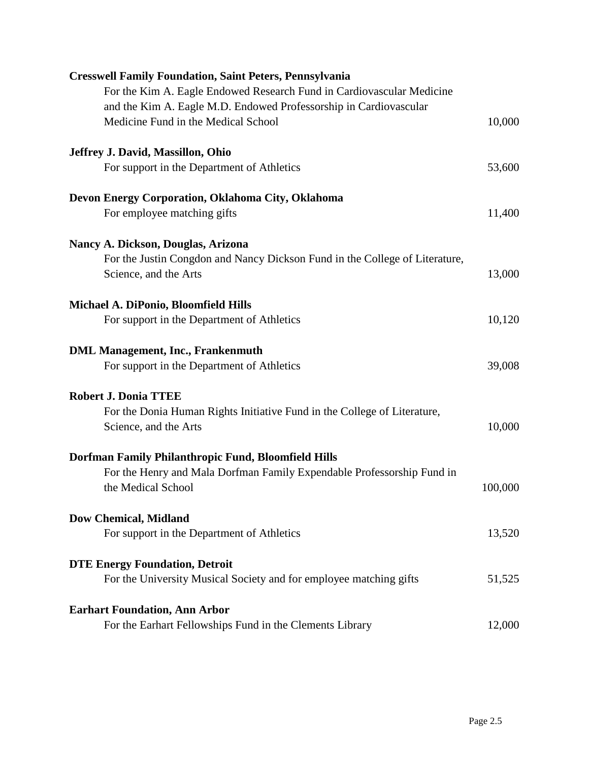| <b>Cresswell Family Foundation, Saint Peters, Pennsylvania</b>              |         |
|-----------------------------------------------------------------------------|---------|
| For the Kim A. Eagle Endowed Research Fund in Cardiovascular Medicine       |         |
| and the Kim A. Eagle M.D. Endowed Professorship in Cardiovascular           |         |
| Medicine Fund in the Medical School                                         | 10,000  |
| Jeffrey J. David, Massillon, Ohio                                           |         |
| For support in the Department of Athletics                                  | 53,600  |
| Devon Energy Corporation, Oklahoma City, Oklahoma                           |         |
| For employee matching gifts                                                 | 11,400  |
| Nancy A. Dickson, Douglas, Arizona                                          |         |
| For the Justin Congdon and Nancy Dickson Fund in the College of Literature, |         |
| Science, and the Arts                                                       | 13,000  |
| Michael A. DiPonio, Bloomfield Hills                                        |         |
| For support in the Department of Athletics                                  | 10,120  |
| <b>DML Management, Inc., Frankenmuth</b>                                    |         |
| For support in the Department of Athletics                                  | 39,008  |
| <b>Robert J. Donia TTEE</b>                                                 |         |
| For the Donia Human Rights Initiative Fund in the College of Literature,    |         |
| Science, and the Arts                                                       | 10,000  |
| Dorfman Family Philanthropic Fund, Bloomfield Hills                         |         |
| For the Henry and Mala Dorfman Family Expendable Professorship Fund in      |         |
| the Medical School                                                          | 100,000 |
| <b>Dow Chemical, Midland</b>                                                |         |
| For support in the Department of Athletics                                  | 13,520  |
| <b>DTE Energy Foundation, Detroit</b>                                       |         |
| For the University Musical Society and for employee matching gifts          | 51,525  |
| <b>Earhart Foundation, Ann Arbor</b>                                        |         |
| For the Earhart Fellowships Fund in the Clements Library                    | 12,000  |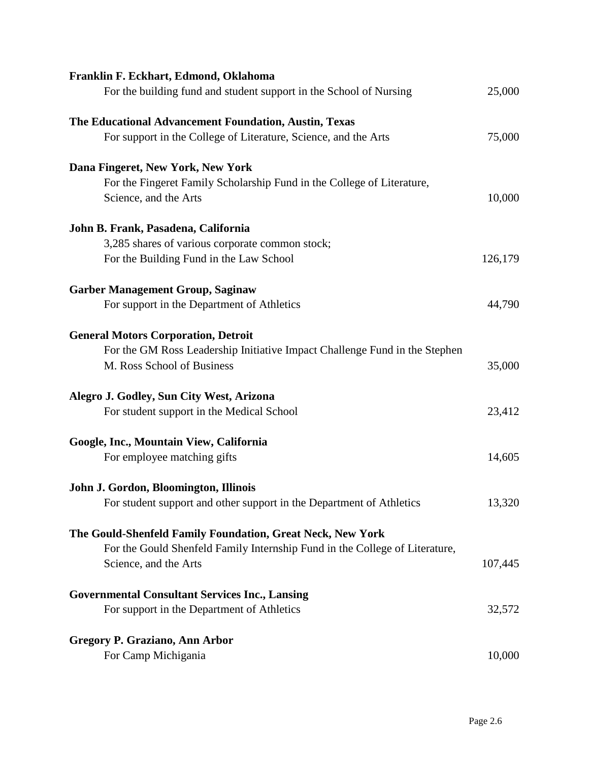| 25,000  |
|---------|
|         |
| 75,000  |
|         |
|         |
| 10,000  |
|         |
|         |
| 126,179 |
|         |
| 44,790  |
|         |
|         |
| 35,000  |
|         |
| 23,412  |
|         |
| 14,605  |
|         |
| 13,320  |
|         |
|         |
| 107,445 |
|         |
| 32,572  |
|         |
| 10,000  |
|         |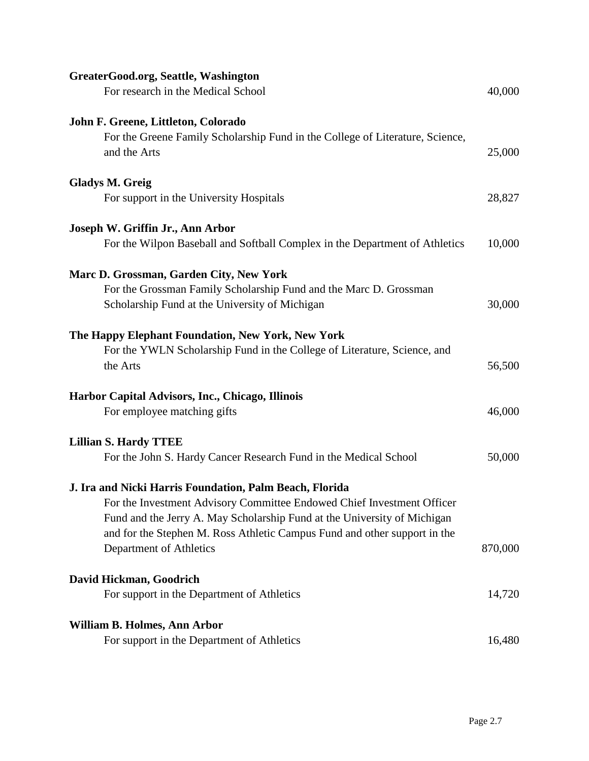| GreaterGood.org, Seattle, Washington                                          |         |
|-------------------------------------------------------------------------------|---------|
| For research in the Medical School                                            | 40,000  |
| John F. Greene, Littleton, Colorado                                           |         |
| For the Greene Family Scholarship Fund in the College of Literature, Science, |         |
| and the Arts                                                                  | 25,000  |
| <b>Gladys M. Greig</b>                                                        |         |
| For support in the University Hospitals                                       | 28,827  |
| Joseph W. Griffin Jr., Ann Arbor                                              |         |
| For the Wilpon Baseball and Softball Complex in the Department of Athletics   | 10,000  |
| Marc D. Grossman, Garden City, New York                                       |         |
| For the Grossman Family Scholarship Fund and the Marc D. Grossman             |         |
| Scholarship Fund at the University of Michigan                                | 30,000  |
| The Happy Elephant Foundation, New York, New York                             |         |
| For the YWLN Scholarship Fund in the College of Literature, Science, and      |         |
| the Arts                                                                      | 56,500  |
| Harbor Capital Advisors, Inc., Chicago, Illinois                              |         |
| For employee matching gifts                                                   | 46,000  |
| <b>Lillian S. Hardy TTEE</b>                                                  |         |
| For the John S. Hardy Cancer Research Fund in the Medical School              | 50,000  |
| J. Ira and Nicki Harris Foundation, Palm Beach, Florida                       |         |
| For the Investment Advisory Committee Endowed Chief Investment Officer        |         |
| Fund and the Jerry A. May Scholarship Fund at the University of Michigan      |         |
| and for the Stephen M. Ross Athletic Campus Fund and other support in the     |         |
| Department of Athletics                                                       | 870,000 |
| David Hickman, Goodrich                                                       |         |
| For support in the Department of Athletics                                    | 14,720  |
| William B. Holmes, Ann Arbor                                                  |         |
| For support in the Department of Athletics                                    | 16,480  |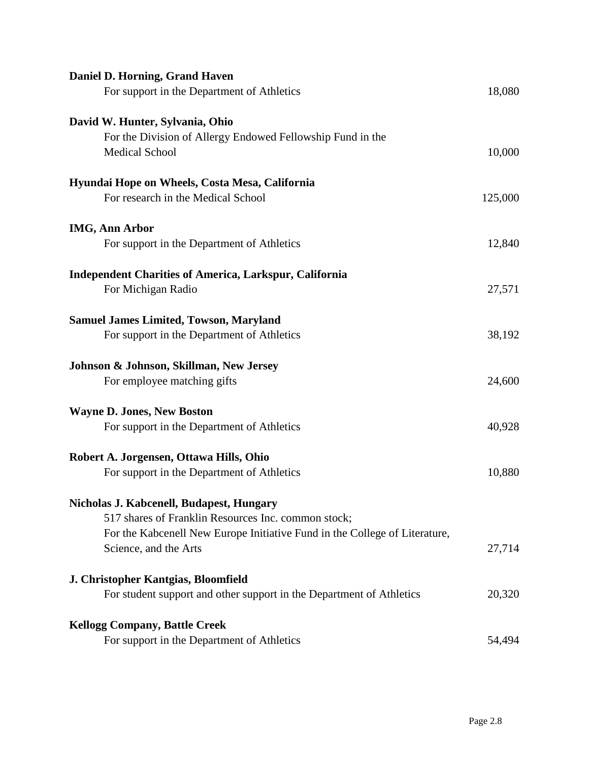| Daniel D. Horning, Grand Haven<br>For support in the Department of Athletics    | 18,080  |
|---------------------------------------------------------------------------------|---------|
| David W. Hunter, Sylvania, Ohio                                                 |         |
| For the Division of Allergy Endowed Fellowship Fund in the                      |         |
| <b>Medical School</b>                                                           | 10,000  |
| Hyundai Hope on Wheels, Costa Mesa, California                                  |         |
| For research in the Medical School                                              | 125,000 |
| <b>IMG, Ann Arbor</b>                                                           |         |
| For support in the Department of Athletics                                      | 12,840  |
| <b>Independent Charities of America, Larkspur, California</b>                   |         |
| For Michigan Radio                                                              | 27,571  |
| <b>Samuel James Limited, Towson, Maryland</b>                                   |         |
| For support in the Department of Athletics                                      | 38,192  |
| Johnson & Johnson, Skillman, New Jersey                                         |         |
| For employee matching gifts                                                     | 24,600  |
|                                                                                 |         |
| <b>Wayne D. Jones, New Boston</b><br>For support in the Department of Athletics | 40,928  |
|                                                                                 |         |
| Robert A. Jorgensen, Ottawa Hills, Ohio                                         |         |
| For support in the Department of Athletics                                      | 10,880  |
| Nicholas J. Kabcenell, Budapest, Hungary                                        |         |
| 517 shares of Franklin Resources Inc. common stock;                             |         |
| For the Kabcenell New Europe Initiative Fund in the College of Literature,      |         |
| Science, and the Arts                                                           | 27,714  |
| J. Christopher Kantgias, Bloomfield                                             |         |
| For student support and other support in the Department of Athletics            | 20,320  |
| <b>Kellogg Company, Battle Creek</b>                                            |         |
| For support in the Department of Athletics                                      | 54,494  |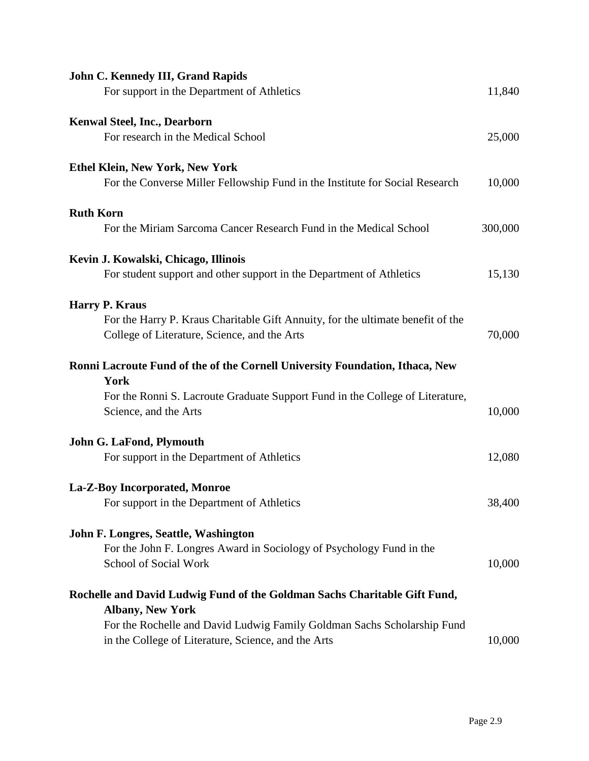| <b>John C. Kennedy III, Grand Rapids</b><br>For support in the Department of Athletics                 | 11,840  |
|--------------------------------------------------------------------------------------------------------|---------|
|                                                                                                        |         |
| <b>Kenwal Steel, Inc., Dearborn</b>                                                                    |         |
| For research in the Medical School                                                                     | 25,000  |
| <b>Ethel Klein, New York, New York</b>                                                                 |         |
| For the Converse Miller Fellowship Fund in the Institute for Social Research                           | 10,000  |
| <b>Ruth Korn</b>                                                                                       |         |
| For the Miriam Sarcoma Cancer Research Fund in the Medical School                                      | 300,000 |
| Kevin J. Kowalski, Chicago, Illinois                                                                   |         |
| For student support and other support in the Department of Athletics                                   | 15,130  |
| <b>Harry P. Kraus</b>                                                                                  |         |
| For the Harry P. Kraus Charitable Gift Annuity, for the ultimate benefit of the                        |         |
| College of Literature, Science, and the Arts                                                           | 70,000  |
| Ronni Lacroute Fund of the of the Cornell University Foundation, Ithaca, New                           |         |
| York                                                                                                   |         |
| For the Ronni S. Lacroute Graduate Support Fund in the College of Literature,<br>Science, and the Arts | 10,000  |
|                                                                                                        |         |
| John G. LaFond, Plymouth                                                                               |         |
| For support in the Department of Athletics                                                             | 12,080  |
| La-Z-Boy Incorporated, Monroe                                                                          |         |
| For support in the Department of Athletics                                                             | 38,400  |
| John F. Longres, Seattle, Washington                                                                   |         |
| For the John F. Longres Award in Sociology of Psychology Fund in the                                   |         |
| School of Social Work                                                                                  | 10,000  |
| Rochelle and David Ludwig Fund of the Goldman Sachs Charitable Gift Fund,                              |         |
| <b>Albany, New York</b>                                                                                |         |
| For the Rochelle and David Ludwig Family Goldman Sachs Scholarship Fund                                |         |
| in the College of Literature, Science, and the Arts                                                    | 10,000  |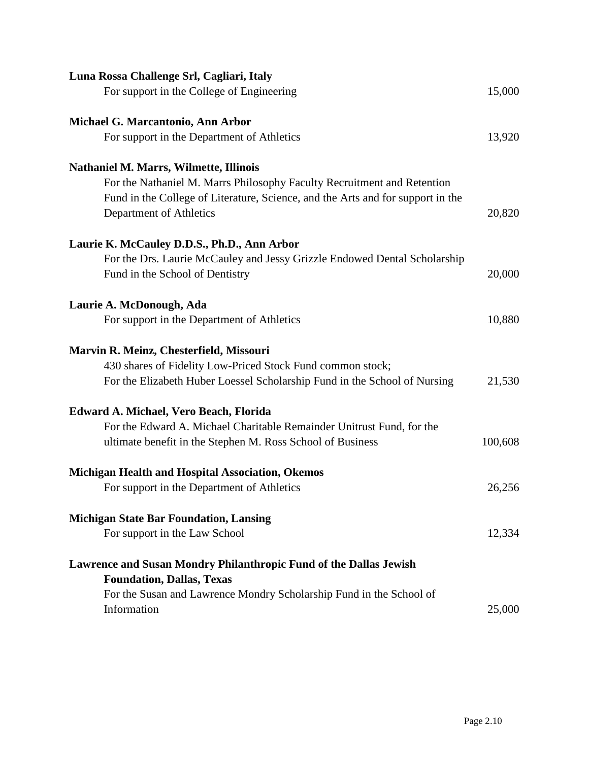| Luna Rossa Challenge Srl, Cagliari, Italy                                                             |         |
|-------------------------------------------------------------------------------------------------------|---------|
| For support in the College of Engineering                                                             | 15,000  |
| Michael G. Marcantonio, Ann Arbor                                                                     |         |
| For support in the Department of Athletics                                                            | 13,920  |
| <b>Nathaniel M. Marrs, Wilmette, Illinois</b>                                                         |         |
| For the Nathaniel M. Marrs Philosophy Faculty Recruitment and Retention                               |         |
| Fund in the College of Literature, Science, and the Arts and for support in the                       |         |
| Department of Athletics                                                                               | 20,820  |
|                                                                                                       |         |
| Laurie K. McCauley D.D.S., Ph.D., Ann Arbor                                                           |         |
| For the Drs. Laurie McCauley and Jessy Grizzle Endowed Dental Scholarship                             |         |
| Fund in the School of Dentistry                                                                       | 20,000  |
| Laurie A. McDonough, Ada                                                                              |         |
| For support in the Department of Athletics                                                            | 10,880  |
|                                                                                                       |         |
| Marvin R. Meinz, Chesterfield, Missouri                                                               |         |
| 430 shares of Fidelity Low-Priced Stock Fund common stock;                                            |         |
| For the Elizabeth Huber Loessel Scholarship Fund in the School of Nursing                             | 21,530  |
| Edward A. Michael, Vero Beach, Florida                                                                |         |
| For the Edward A. Michael Charitable Remainder Unitrust Fund, for the                                 |         |
| ultimate benefit in the Stephen M. Ross School of Business                                            | 100,608 |
|                                                                                                       |         |
| Michigan Health and Hospital Association, Okemos                                                      |         |
| For support in the Department of Athletics                                                            | 26,256  |
| <b>Michigan State Bar Foundation, Lansing</b>                                                         |         |
| For support in the Law School                                                                         | 12,334  |
|                                                                                                       |         |
| Lawrence and Susan Mondry Philanthropic Fund of the Dallas Jewish<br><b>Foundation, Dallas, Texas</b> |         |
| For the Susan and Lawrence Mondry Scholarship Fund in the School of                                   |         |
| Information                                                                                           | 25,000  |
|                                                                                                       |         |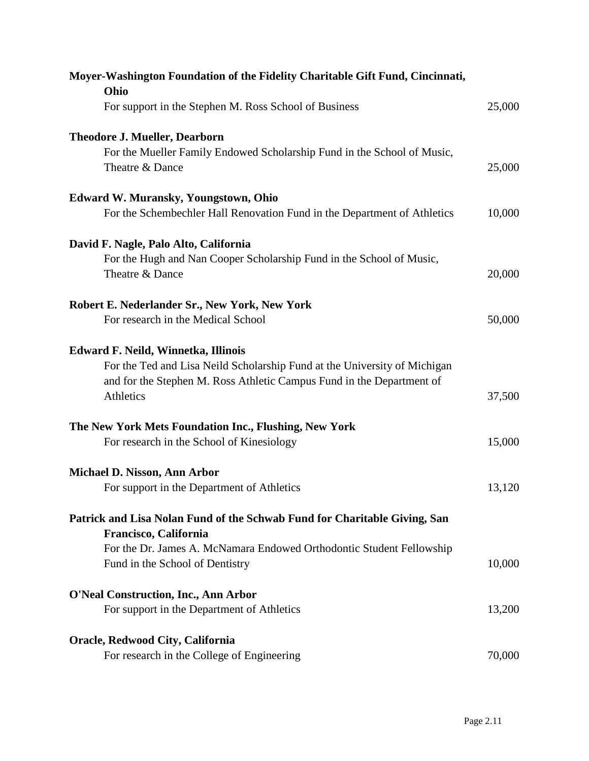| Moyer-Washington Foundation of the Fidelity Charitable Gift Fund, Cincinnati,<br>Ohio              |        |
|----------------------------------------------------------------------------------------------------|--------|
| For support in the Stephen M. Ross School of Business                                              | 25,000 |
| <b>Theodore J. Mueller, Dearborn</b>                                                               |        |
| For the Mueller Family Endowed Scholarship Fund in the School of Music,                            |        |
| Theatre & Dance                                                                                    | 25,000 |
| <b>Edward W. Muransky, Youngstown, Ohio</b>                                                        |        |
| For the Schembechler Hall Renovation Fund in the Department of Athletics                           | 10,000 |
| David F. Nagle, Palo Alto, California                                                              |        |
| For the Hugh and Nan Cooper Scholarship Fund in the School of Music,                               |        |
| Theatre & Dance                                                                                    | 20,000 |
| Robert E. Nederlander Sr., New York, New York                                                      |        |
| For research in the Medical School                                                                 | 50,000 |
| Edward F. Neild, Winnetka, Illinois                                                                |        |
| For the Ted and Lisa Neild Scholarship Fund at the University of Michigan                          |        |
| and for the Stephen M. Ross Athletic Campus Fund in the Department of<br>Athletics                 | 37,500 |
|                                                                                                    |        |
| The New York Mets Foundation Inc., Flushing, New York                                              |        |
| For research in the School of Kinesiology                                                          | 15,000 |
| Michael D. Nisson, Ann Arbor                                                                       |        |
| For support in the Department of Athletics                                                         | 13,120 |
| Patrick and Lisa Nolan Fund of the Schwab Fund for Charitable Giving, San<br>Francisco, California |        |
| For the Dr. James A. McNamara Endowed Orthodontic Student Fellowship                               |        |
| Fund in the School of Dentistry                                                                    | 10,000 |
| <b>O'Neal Construction, Inc., Ann Arbor</b>                                                        |        |
| For support in the Department of Athletics                                                         | 13,200 |
| Oracle, Redwood City, California                                                                   |        |
| For research in the College of Engineering                                                         | 70,000 |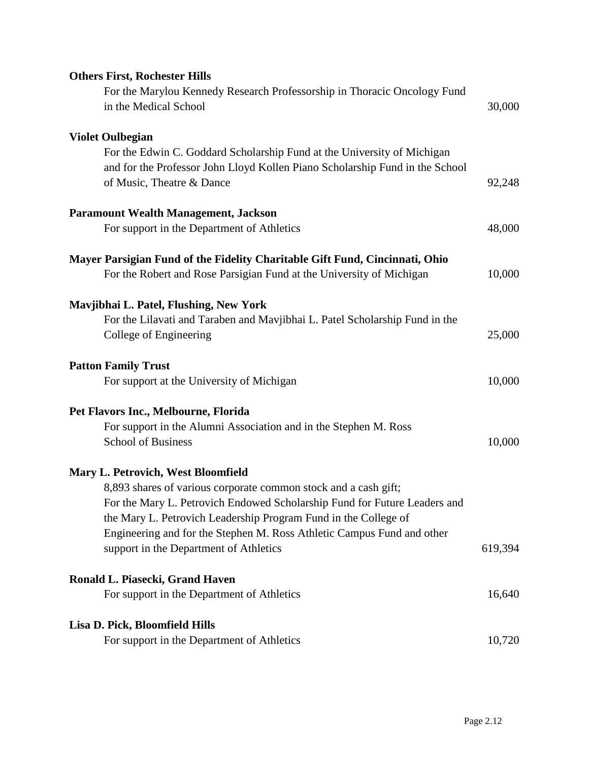| <b>Others First, Rochester Hills</b>                                         |         |
|------------------------------------------------------------------------------|---------|
| For the Marylou Kennedy Research Professorship in Thoracic Oncology Fund     |         |
| in the Medical School                                                        | 30,000  |
| <b>Violet Oulbegian</b>                                                      |         |
| For the Edwin C. Goddard Scholarship Fund at the University of Michigan      |         |
| and for the Professor John Lloyd Kollen Piano Scholarship Fund in the School |         |
| of Music, Theatre & Dance                                                    | 92,248  |
| <b>Paramount Wealth Management, Jackson</b>                                  |         |
| For support in the Department of Athletics                                   | 48,000  |
| Mayer Parsigian Fund of the Fidelity Charitable Gift Fund, Cincinnati, Ohio  |         |
| For the Robert and Rose Parsigian Fund at the University of Michigan         | 10,000  |
| Mavjibhai L. Patel, Flushing, New York                                       |         |
| For the Lilavati and Taraben and Mavjibhai L. Patel Scholarship Fund in the  |         |
| College of Engineering                                                       | 25,000  |
| <b>Patton Family Trust</b>                                                   |         |
| For support at the University of Michigan                                    | 10,000  |
| Pet Flavors Inc., Melbourne, Florida                                         |         |
| For support in the Alumni Association and in the Stephen M. Ross             |         |
| <b>School of Business</b>                                                    | 10,000  |
| <b>Mary L. Petrovich, West Bloomfield</b>                                    |         |
| 8,893 shares of various corporate common stock and a cash gift;              |         |
| For the Mary L. Petrovich Endowed Scholarship Fund for Future Leaders and    |         |
| the Mary L. Petrovich Leadership Program Fund in the College of              |         |
| Engineering and for the Stephen M. Ross Athletic Campus Fund and other       |         |
| support in the Department of Athletics                                       | 619,394 |
| Ronald L. Piasecki, Grand Haven                                              |         |
| For support in the Department of Athletics                                   | 16,640  |
| Lisa D. Pick, Bloomfield Hills                                               |         |
| For support in the Department of Athletics                                   | 10,720  |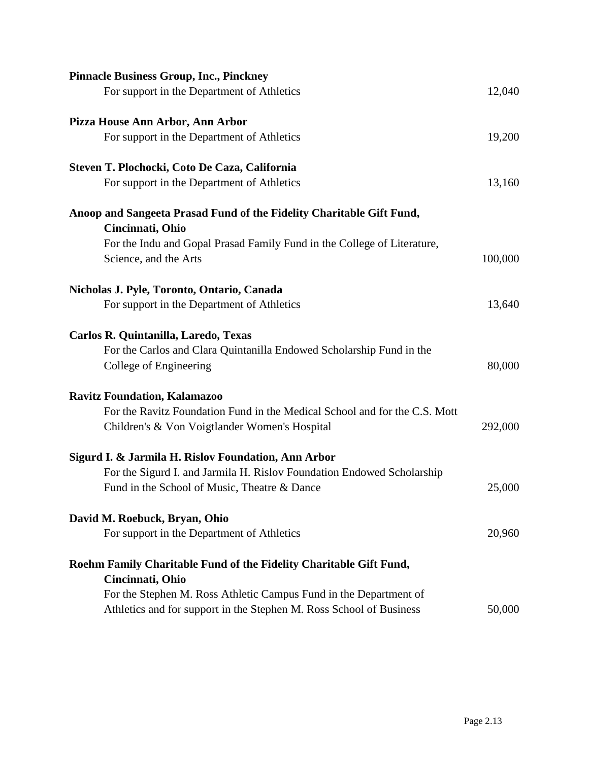| <b>Pinnacle Business Group, Inc., Pinckney</b>                                           |         |
|------------------------------------------------------------------------------------------|---------|
| For support in the Department of Athletics                                               | 12,040  |
| Pizza House Ann Arbor, Ann Arbor                                                         |         |
| For support in the Department of Athletics                                               | 19,200  |
| Steven T. Plochocki, Coto De Caza, California                                            |         |
| For support in the Department of Athletics                                               | 13,160  |
| Anoop and Sangeeta Prasad Fund of the Fidelity Charitable Gift Fund,<br>Cincinnati, Ohio |         |
| For the Indu and Gopal Prasad Family Fund in the College of Literature,                  |         |
| Science, and the Arts                                                                    | 100,000 |
| Nicholas J. Pyle, Toronto, Ontario, Canada                                               |         |
| For support in the Department of Athletics                                               | 13,640  |
| Carlos R. Quintanilla, Laredo, Texas                                                     |         |
| For the Carlos and Clara Quintanilla Endowed Scholarship Fund in the                     |         |
| College of Engineering                                                                   | 80,000  |
| <b>Ravitz Foundation, Kalamazoo</b>                                                      |         |
| For the Ravitz Foundation Fund in the Medical School and for the C.S. Mott               |         |
| Children's & Von Voigtlander Women's Hospital                                            | 292,000 |
| Sigurd I. & Jarmila H. Rislov Foundation, Ann Arbor                                      |         |
| For the Sigurd I. and Jarmila H. Rislov Foundation Endowed Scholarship                   |         |
| Fund in the School of Music, Theatre & Dance                                             | 25,000  |
| David M. Roebuck, Bryan, Ohio                                                            |         |
| For support in the Department of Athletics                                               | 20,960  |
| Roehm Family Charitable Fund of the Fidelity Charitable Gift Fund,                       |         |
| Cincinnati, Ohio                                                                         |         |
| For the Stephen M. Ross Athletic Campus Fund in the Department of                        |         |
| Athletics and for support in the Stephen M. Ross School of Business                      | 50,000  |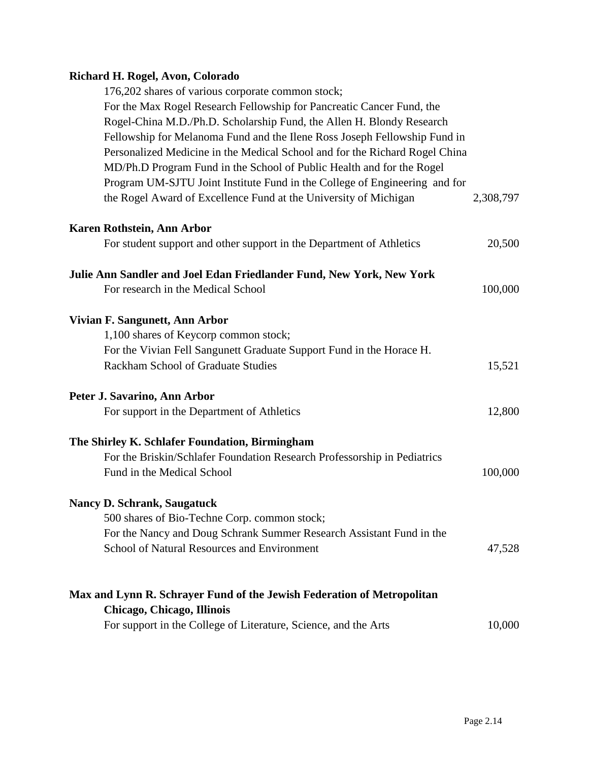# **Richard H. Rogel, Avon, Colorado**

| 176,202 shares of various corporate common stock;                           |           |
|-----------------------------------------------------------------------------|-----------|
| For the Max Rogel Research Fellowship for Pancreatic Cancer Fund, the       |           |
| Rogel-China M.D./Ph.D. Scholarship Fund, the Allen H. Blondy Research       |           |
| Fellowship for Melanoma Fund and the Ilene Ross Joseph Fellowship Fund in   |           |
| Personalized Medicine in the Medical School and for the Richard Rogel China |           |
|                                                                             |           |
| MD/Ph.D Program Fund in the School of Public Health and for the Rogel       |           |
| Program UM-SJTU Joint Institute Fund in the College of Engineering and for  |           |
| the Rogel Award of Excellence Fund at the University of Michigan            | 2,308,797 |
| Karen Rothstein, Ann Arbor                                                  |           |
| For student support and other support in the Department of Athletics        | 20,500    |
| Julie Ann Sandler and Joel Edan Friedlander Fund, New York, New York        |           |
| For research in the Medical School                                          | 100,000   |
| Vivian F. Sangunett, Ann Arbor                                              |           |
| 1,100 shares of Keycorp common stock;                                       |           |
| For the Vivian Fell Sangunett Graduate Support Fund in the Horace H.        |           |
| Rackham School of Graduate Studies                                          | 15,521    |
| Peter J. Savarino, Ann Arbor                                                |           |
| For support in the Department of Athletics                                  | 12,800    |
| The Shirley K. Schlafer Foundation, Birmingham                              |           |
| For the Briskin/Schlafer Foundation Research Professorship in Pediatrics    |           |
| Fund in the Medical School                                                  | 100,000   |
| <b>Nancy D. Schrank, Saugatuck</b>                                          |           |
| 500 shares of Bio-Techne Corp. common stock;                                |           |
| For the Nancy and Doug Schrank Summer Research Assistant Fund in the        |           |
| School of Natural Resources and Environment                                 | 47,528    |
| Max and Lynn R. Schrayer Fund of the Jewish Federation of Metropolitan      |           |
| Chicago, Chicago, Illinois                                                  |           |
| For support in the College of Literature, Science, and the Arts             | 10,000    |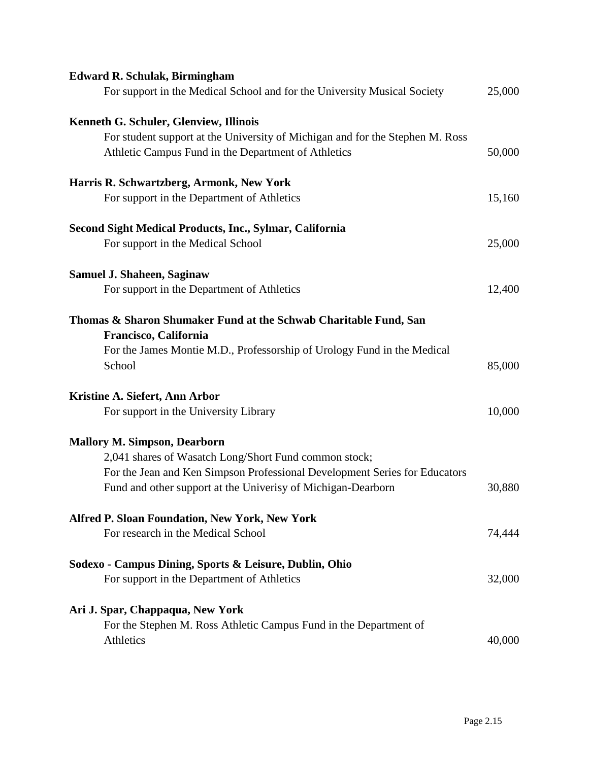| <b>Edward R. Schulak, Birmingham</b>                                                      |        |
|-------------------------------------------------------------------------------------------|--------|
| For support in the Medical School and for the University Musical Society                  | 25,000 |
| Kenneth G. Schuler, Glenview, Illinois                                                    |        |
| For student support at the University of Michigan and for the Stephen M. Ross             |        |
| Athletic Campus Fund in the Department of Athletics                                       | 50,000 |
| Harris R. Schwartzberg, Armonk, New York                                                  |        |
| For support in the Department of Athletics                                                | 15,160 |
| Second Sight Medical Products, Inc., Sylmar, California                                   |        |
| For support in the Medical School                                                         | 25,000 |
| <b>Samuel J. Shaheen, Saginaw</b>                                                         |        |
| For support in the Department of Athletics                                                | 12,400 |
| Thomas & Sharon Shumaker Fund at the Schwab Charitable Fund, San<br>Francisco, California |        |
| For the James Montie M.D., Professorship of Urology Fund in the Medical<br>School         | 85,000 |
| Kristine A. Siefert, Ann Arbor                                                            |        |
| For support in the University Library                                                     | 10,000 |
| <b>Mallory M. Simpson, Dearborn</b>                                                       |        |
| 2,041 shares of Wasatch Long/Short Fund common stock;                                     |        |
| For the Jean and Ken Simpson Professional Development Series for Educators                |        |
| Fund and other support at the Univerisy of Michigan-Dearborn                              | 30,880 |
| <b>Alfred P. Sloan Foundation, New York, New York</b>                                     |        |
| For research in the Medical School                                                        | 74,444 |
| Sodexo - Campus Dining, Sports & Leisure, Dublin, Ohio                                    |        |
| For support in the Department of Athletics                                                | 32,000 |
| Ari J. Spar, Chappaqua, New York                                                          |        |
| For the Stephen M. Ross Athletic Campus Fund in the Department of                         |        |
| Athletics                                                                                 | 40,000 |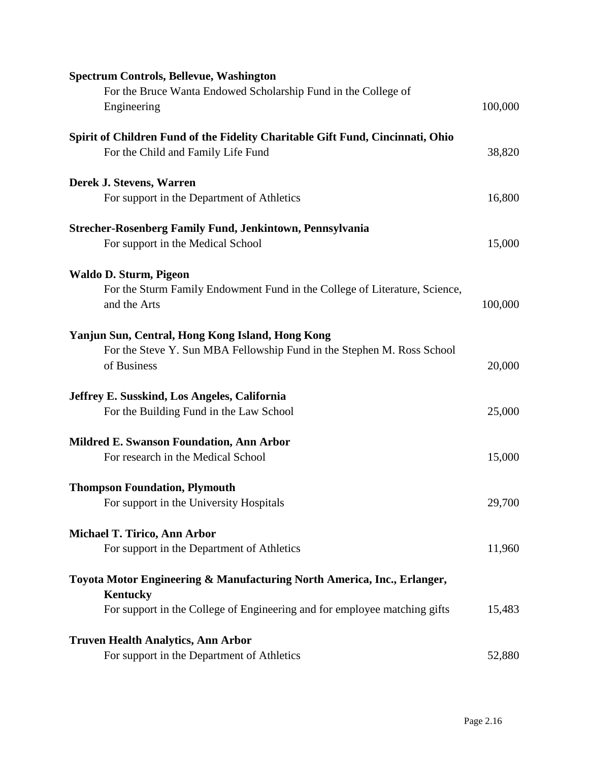| <b>Spectrum Controls, Bellevue, Washington</b>                                             |         |
|--------------------------------------------------------------------------------------------|---------|
| For the Bruce Wanta Endowed Scholarship Fund in the College of                             |         |
| Engineering                                                                                | 100,000 |
| Spirit of Children Fund of the Fidelity Charitable Gift Fund, Cincinnati, Ohio             |         |
| For the Child and Family Life Fund                                                         | 38,820  |
| Derek J. Stevens, Warren                                                                   |         |
| For support in the Department of Athletics                                                 | 16,800  |
| <b>Strecher-Rosenberg Family Fund, Jenkintown, Pennsylvania</b>                            |         |
| For support in the Medical School                                                          | 15,000  |
| Waldo D. Sturm, Pigeon                                                                     |         |
| For the Sturm Family Endowment Fund in the College of Literature, Science,                 |         |
| and the Arts                                                                               | 100,000 |
| Yanjun Sun, Central, Hong Kong Island, Hong Kong                                           |         |
| For the Steve Y. Sun MBA Fellowship Fund in the Stephen M. Ross School                     |         |
| of Business                                                                                | 20,000  |
| Jeffrey E. Susskind, Los Angeles, California                                               |         |
| For the Building Fund in the Law School                                                    | 25,000  |
| <b>Mildred E. Swanson Foundation, Ann Arbor</b>                                            |         |
| For research in the Medical School                                                         | 15,000  |
| <b>Thompson Foundation, Plymouth</b>                                                       |         |
| For support in the University Hospitals                                                    | 29,700  |
| <b>Michael T. Tirico, Ann Arbor</b>                                                        |         |
| For support in the Department of Athletics                                                 | 11,960  |
| Toyota Motor Engineering & Manufacturing North America, Inc., Erlanger,<br><b>Kentucky</b> |         |
| For support in the College of Engineering and for employee matching gifts                  | 15,483  |
| <b>Truven Health Analytics, Ann Arbor</b>                                                  |         |
| For support in the Department of Athletics                                                 | 52,880  |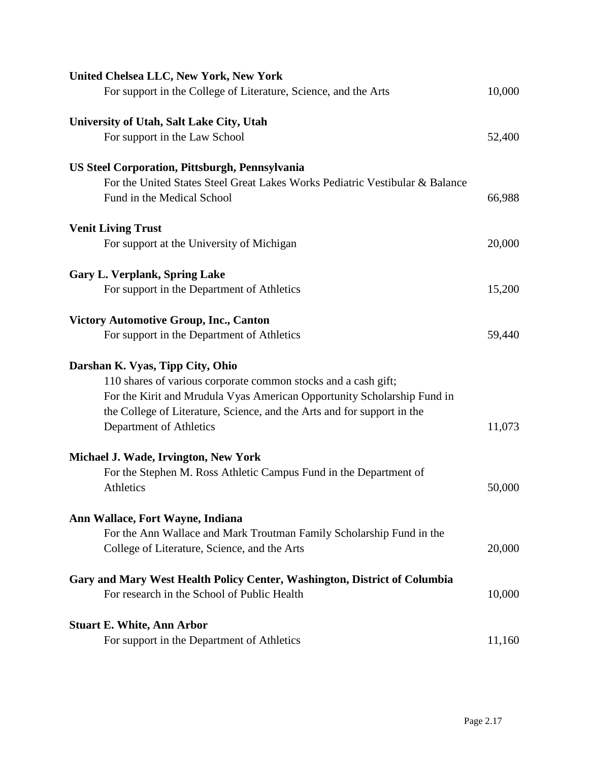| <b>United Chelsea LLC, New York, New York</b>                                |        |
|------------------------------------------------------------------------------|--------|
| For support in the College of Literature, Science, and the Arts              | 10,000 |
| University of Utah, Salt Lake City, Utah                                     |        |
| For support in the Law School                                                | 52,400 |
| <b>US Steel Corporation, Pittsburgh, Pennsylvania</b>                        |        |
| For the United States Steel Great Lakes Works Pediatric Vestibular & Balance |        |
| Fund in the Medical School                                                   | 66,988 |
| <b>Venit Living Trust</b>                                                    |        |
| For support at the University of Michigan                                    | 20,000 |
| <b>Gary L. Verplank, Spring Lake</b>                                         |        |
| For support in the Department of Athletics                                   | 15,200 |
| <b>Victory Automotive Group, Inc., Canton</b>                                |        |
| For support in the Department of Athletics                                   | 59,440 |
| Darshan K. Vyas, Tipp City, Ohio                                             |        |
| 110 shares of various corporate common stocks and a cash gift;               |        |
| For the Kirit and Mrudula Vyas American Opportunity Scholarship Fund in      |        |
| the College of Literature, Science, and the Arts and for support in the      |        |
| Department of Athletics                                                      | 11,073 |
| Michael J. Wade, Irvington, New York                                         |        |
| For the Stephen M. Ross Athletic Campus Fund in the Department of            |        |
| <b>Athletics</b>                                                             | 50,000 |
| Ann Wallace, Fort Wayne, Indiana                                             |        |
| For the Ann Wallace and Mark Troutman Family Scholarship Fund in the         |        |
| College of Literature, Science, and the Arts                                 | 20,000 |
| Gary and Mary West Health Policy Center, Washington, District of Columbia    |        |
| For research in the School of Public Health                                  | 10,000 |
| <b>Stuart E. White, Ann Arbor</b>                                            |        |
| For support in the Department of Athletics                                   | 11,160 |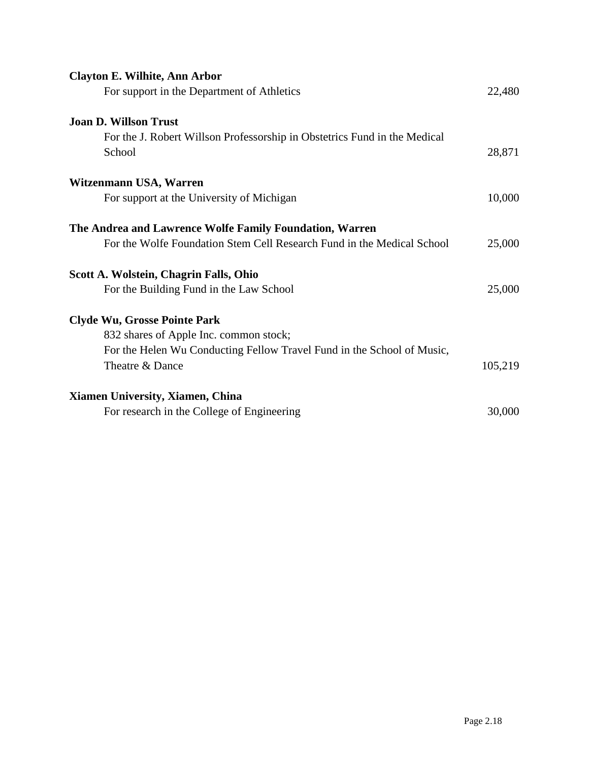| Clayton E. Wilhite, Ann Arbor                                             |         |
|---------------------------------------------------------------------------|---------|
| For support in the Department of Athletics                                | 22,480  |
| <b>Joan D. Willson Trust</b>                                              |         |
| For the J. Robert Willson Professorship in Obstetrics Fund in the Medical |         |
| School                                                                    | 28,871  |
| Witzenmann USA, Warren                                                    |         |
| For support at the University of Michigan                                 | 10,000  |
| The Andrea and Lawrence Wolfe Family Foundation, Warren                   |         |
| For the Wolfe Foundation Stem Cell Research Fund in the Medical School    | 25,000  |
| Scott A. Wolstein, Chagrin Falls, Ohio                                    |         |
| For the Building Fund in the Law School                                   | 25,000  |
| <b>Clyde Wu, Grosse Pointe Park</b>                                       |         |
| 832 shares of Apple Inc. common stock;                                    |         |
| For the Helen Wu Conducting Fellow Travel Fund in the School of Music,    |         |
| Theatre & Dance                                                           | 105,219 |
| Xiamen University, Xiamen, China                                          |         |
| For research in the College of Engineering                                | 30,000  |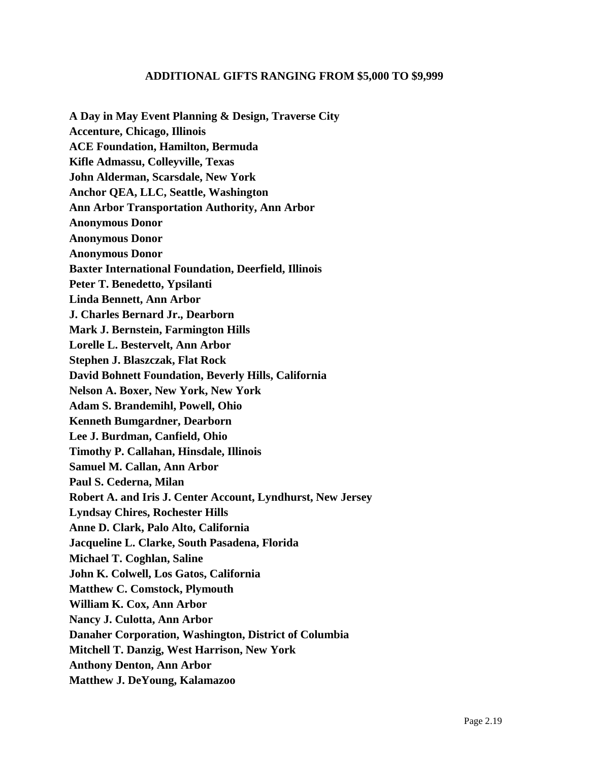## **ADDITIONAL GIFTS RANGING FROM \$5,000 TO \$9,999**

**A Day in May Event Planning & Design, Traverse City Accenture, Chicago, Illinois ACE Foundation, Hamilton, Bermuda Kifle Admassu, Colleyville, Texas John Alderman, Scarsdale, New York Anchor QEA, LLC, Seattle, Washington Ann Arbor Transportation Authority, Ann Arbor Anonymous Donor Anonymous Donor Anonymous Donor Baxter International Foundation, Deerfield, Illinois Peter T. Benedetto, Ypsilanti Linda Bennett, Ann Arbor J. Charles Bernard Jr., Dearborn Mark J. Bernstein, Farmington Hills Lorelle L. Bestervelt, Ann Arbor Stephen J. Blaszczak, Flat Rock David Bohnett Foundation, Beverly Hills, California Nelson A. Boxer, New York, New York Adam S. Brandemihl, Powell, Ohio Kenneth Bumgardner, Dearborn Lee J. Burdman, Canfield, Ohio Timothy P. Callahan, Hinsdale, Illinois Samuel M. Callan, Ann Arbor Paul S. Cederna, Milan Robert A. and Iris J. Center Account, Lyndhurst, New Jersey Lyndsay Chires, Rochester Hills Anne D. Clark, Palo Alto, California Jacqueline L. Clarke, South Pasadena, Florida Michael T. Coghlan, Saline John K. Colwell, Los Gatos, California Matthew C. Comstock, Plymouth William K. Cox, Ann Arbor Nancy J. Culotta, Ann Arbor Danaher Corporation, Washington, District of Columbia Mitchell T. Danzig, West Harrison, New York Anthony Denton, Ann Arbor Matthew J. DeYoung, Kalamazoo**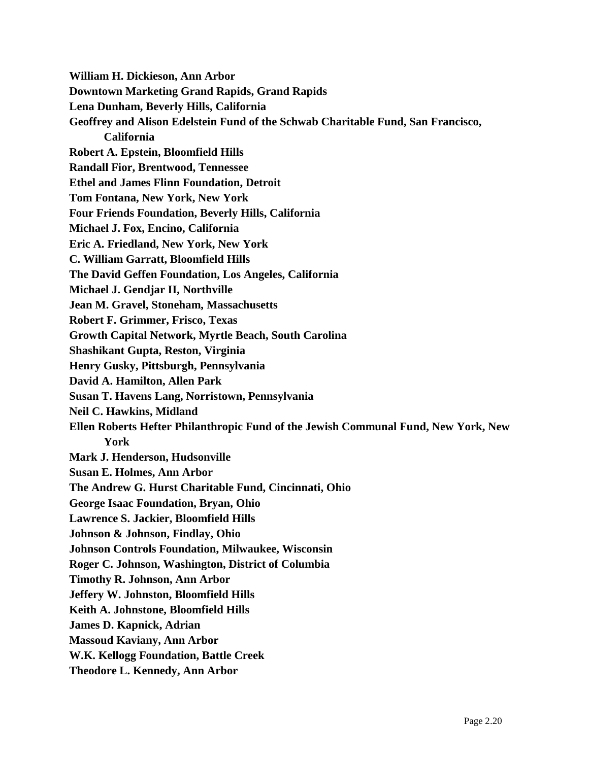**William H. Dickieson, Ann Arbor Downtown Marketing Grand Rapids, Grand Rapids Lena Dunham, Beverly Hills, California Geoffrey and Alison Edelstein Fund of the Schwab Charitable Fund, San Francisco, California Robert A. Epstein, Bloomfield Hills Randall Fior, Brentwood, Tennessee Ethel and James Flinn Foundation, Detroit Tom Fontana, New York, New York Four Friends Foundation, Beverly Hills, California Michael J. Fox, Encino, California Eric A. Friedland, New York, New York C. William Garratt, Bloomfield Hills The David Geffen Foundation, Los Angeles, California Michael J. Gendjar II, Northville Jean M. Gravel, Stoneham, Massachusetts Robert F. Grimmer, Frisco, Texas Growth Capital Network, Myrtle Beach, South Carolina Shashikant Gupta, Reston, Virginia Henry Gusky, Pittsburgh, Pennsylvania David A. Hamilton, Allen Park Susan T. Havens Lang, Norristown, Pennsylvania Neil C. Hawkins, Midland Ellen Roberts Hefter Philanthropic Fund of the Jewish Communal Fund, New York, New York Mark J. Henderson, Hudsonville Susan E. Holmes, Ann Arbor The Andrew G. Hurst Charitable Fund, Cincinnati, Ohio George Isaac Foundation, Bryan, Ohio Lawrence S. Jackier, Bloomfield Hills Johnson & Johnson, Findlay, Ohio Johnson Controls Foundation, Milwaukee, Wisconsin Roger C. Johnson, Washington, District of Columbia Timothy R. Johnson, Ann Arbor Jeffery W. Johnston, Bloomfield Hills Keith A. Johnstone, Bloomfield Hills James D. Kapnick, Adrian Massoud Kaviany, Ann Arbor W.K. Kellogg Foundation, Battle Creek Theodore L. Kennedy, Ann Arbor**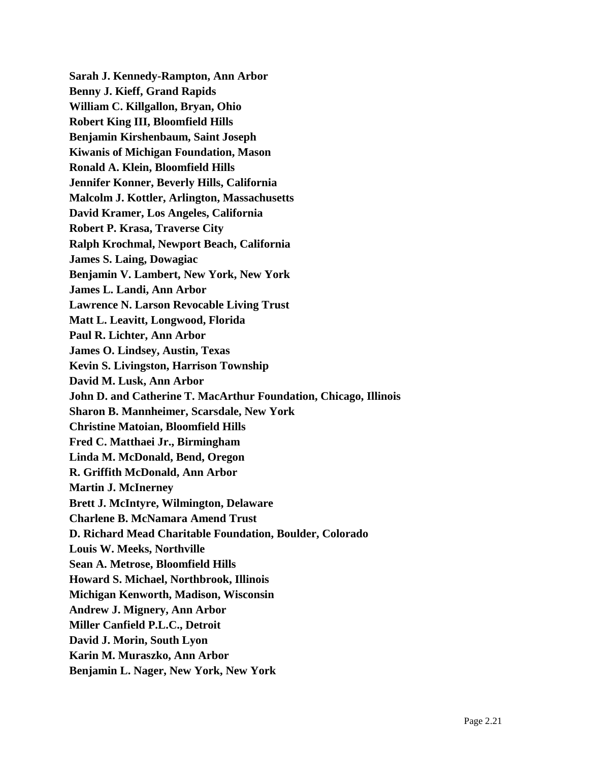**Sarah J. Kennedy-Rampton, Ann Arbor Benny J. Kieff, Grand Rapids William C. Killgallon, Bryan, Ohio Robert King III, Bloomfield Hills Benjamin Kirshenbaum, Saint Joseph Kiwanis of Michigan Foundation, Mason Ronald A. Klein, Bloomfield Hills Jennifer Konner, Beverly Hills, California Malcolm J. Kottler, Arlington, Massachusetts David Kramer, Los Angeles, California Robert P. Krasa, Traverse City Ralph Krochmal, Newport Beach, California James S. Laing, Dowagiac Benjamin V. Lambert, New York, New York James L. Landi, Ann Arbor Lawrence N. Larson Revocable Living Trust Matt L. Leavitt, Longwood, Florida Paul R. Lichter, Ann Arbor James O. Lindsey, Austin, Texas Kevin S. Livingston, Harrison Township David M. Lusk, Ann Arbor John D. and Catherine T. MacArthur Foundation, Chicago, Illinois Sharon B. Mannheimer, Scarsdale, New York Christine Matoian, Bloomfield Hills Fred C. Matthaei Jr., Birmingham Linda M. McDonald, Bend, Oregon R. Griffith McDonald, Ann Arbor Martin J. McInerney Brett J. McIntyre, Wilmington, Delaware Charlene B. McNamara Amend Trust D. Richard Mead Charitable Foundation, Boulder, Colorado Louis W. Meeks, Northville Sean A. Metrose, Bloomfield Hills Howard S. Michael, Northbrook, Illinois Michigan Kenworth, Madison, Wisconsin Andrew J. Mignery, Ann Arbor Miller Canfield P.L.C., Detroit David J. Morin, South Lyon Karin M. Muraszko, Ann Arbor Benjamin L. Nager, New York, New York**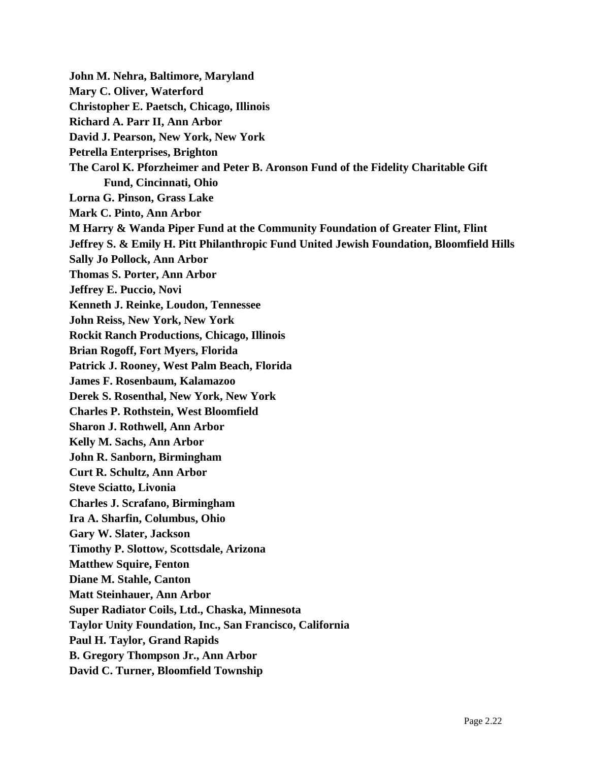**John M. Nehra, Baltimore, Maryland Mary C. Oliver, Waterford Christopher E. Paetsch, Chicago, Illinois Richard A. Parr II, Ann Arbor David J. Pearson, New York, New York Petrella Enterprises, Brighton The Carol K. Pforzheimer and Peter B. Aronson Fund of the Fidelity Charitable Gift Fund, Cincinnati, Ohio Lorna G. Pinson, Grass Lake Mark C. Pinto, Ann Arbor M Harry & Wanda Piper Fund at the Community Foundation of Greater Flint, Flint Jeffrey S. & Emily H. Pitt Philanthropic Fund United Jewish Foundation, Bloomfield Hills Sally Jo Pollock, Ann Arbor Thomas S. Porter, Ann Arbor Jeffrey E. Puccio, Novi Kenneth J. Reinke, Loudon, Tennessee John Reiss, New York, New York Rockit Ranch Productions, Chicago, Illinois Brian Rogoff, Fort Myers, Florida Patrick J. Rooney, West Palm Beach, Florida James F. Rosenbaum, Kalamazoo Derek S. Rosenthal, New York, New York Charles P. Rothstein, West Bloomfield Sharon J. Rothwell, Ann Arbor Kelly M. Sachs, Ann Arbor John R. Sanborn, Birmingham Curt R. Schultz, Ann Arbor Steve Sciatto, Livonia Charles J. Scrafano, Birmingham Ira A. Sharfin, Columbus, Ohio Gary W. Slater, Jackson Timothy P. Slottow, Scottsdale, Arizona Matthew Squire, Fenton Diane M. Stahle, Canton Matt Steinhauer, Ann Arbor Super Radiator Coils, Ltd., Chaska, Minnesota Taylor Unity Foundation, Inc., San Francisco, California Paul H. Taylor, Grand Rapids B. Gregory Thompson Jr., Ann Arbor David C. Turner, Bloomfield Township**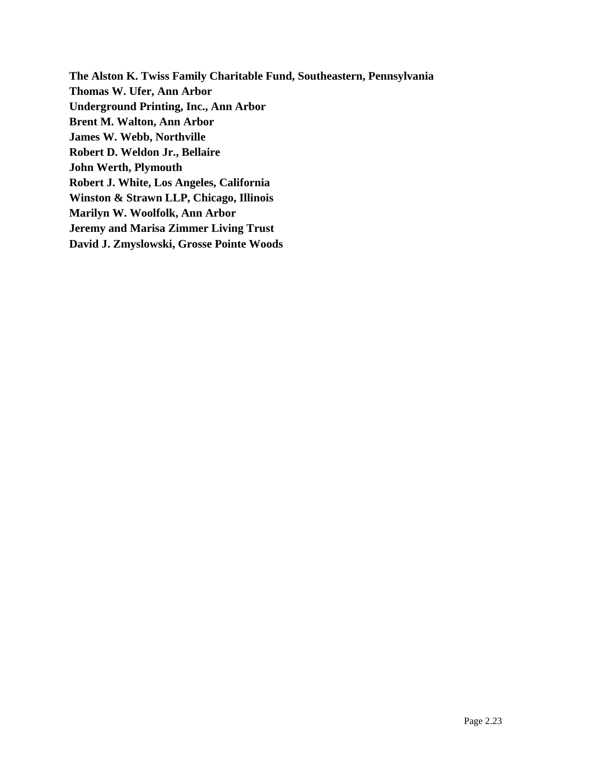**The Alston K. Twiss Family Charitable Fund, Southeastern, Pennsylvania Thomas W. Ufer, Ann Arbor Underground Printing, Inc., Ann Arbor Brent M. Walton, Ann Arbor James W. Webb, Northville Robert D. Weldon Jr., Bellaire John Werth, Plymouth Robert J. White, Los Angeles, California Winston & Strawn LLP, Chicago, Illinois Marilyn W. Woolfolk, Ann Arbor Jeremy and Marisa Zimmer Living Trust David J. Zmyslowski, Grosse Pointe Woods**